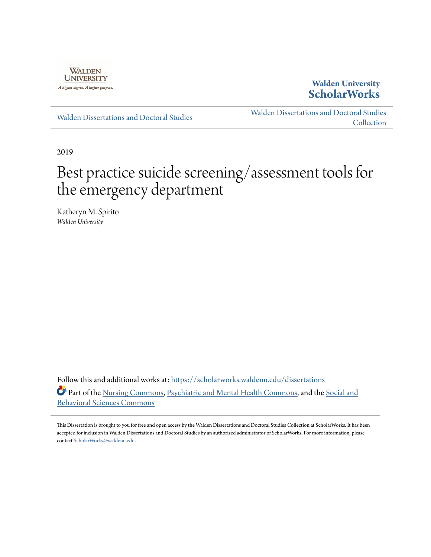

## **Walden University [ScholarWorks](https://scholarworks.waldenu.edu/?utm_source=scholarworks.waldenu.edu%2Fdissertations%2F7433&utm_medium=PDF&utm_campaign=PDFCoverPages)**

[Walden Dissertations and Doctoral Studies](https://scholarworks.waldenu.edu/dissertations?utm_source=scholarworks.waldenu.edu%2Fdissertations%2F7433&utm_medium=PDF&utm_campaign=PDFCoverPages)

[Walden Dissertations and Doctoral Studies](https://scholarworks.waldenu.edu/dissanddoc?utm_source=scholarworks.waldenu.edu%2Fdissertations%2F7433&utm_medium=PDF&utm_campaign=PDFCoverPages) **[Collection](https://scholarworks.waldenu.edu/dissanddoc?utm_source=scholarworks.waldenu.edu%2Fdissertations%2F7433&utm_medium=PDF&utm_campaign=PDFCoverPages)** 

2019

# Best practice suicide screening/assessment tools for the emergency department

Katheryn M. Spirito *Walden University*

Follow this and additional works at: [https://scholarworks.waldenu.edu/dissertations](https://scholarworks.waldenu.edu/dissertations?utm_source=scholarworks.waldenu.edu%2Fdissertations%2F7433&utm_medium=PDF&utm_campaign=PDFCoverPages) Part of the [Nursing Commons](http://network.bepress.com/hgg/discipline/718?utm_source=scholarworks.waldenu.edu%2Fdissertations%2F7433&utm_medium=PDF&utm_campaign=PDFCoverPages), [Psychiatric and Mental Health Commons](http://network.bepress.com/hgg/discipline/711?utm_source=scholarworks.waldenu.edu%2Fdissertations%2F7433&utm_medium=PDF&utm_campaign=PDFCoverPages), and the [Social and](http://network.bepress.com/hgg/discipline/316?utm_source=scholarworks.waldenu.edu%2Fdissertations%2F7433&utm_medium=PDF&utm_campaign=PDFCoverPages) [Behavioral Sciences Commons](http://network.bepress.com/hgg/discipline/316?utm_source=scholarworks.waldenu.edu%2Fdissertations%2F7433&utm_medium=PDF&utm_campaign=PDFCoverPages)

This Dissertation is brought to you for free and open access by the Walden Dissertations and Doctoral Studies Collection at ScholarWorks. It has been accepted for inclusion in Walden Dissertations and Doctoral Studies by an authorized administrator of ScholarWorks. For more information, please contact [ScholarWorks@waldenu.edu](mailto:ScholarWorks@waldenu.edu).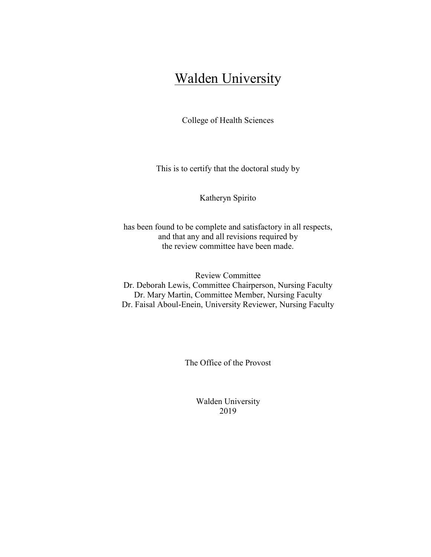## **Walden University**

College of Health Sciences

This is to certify that the doctoral study by

Katheryn Spirito

has been found to be complete and satisfactory in all respects, and that any and all revisions required by the review committee have been made.

Review Committee Dr. Deborah Lewis, Committee Chairperson, Nursing Faculty Dr. Mary Martin, Committee Member, Nursing Faculty Dr. Faisal Aboul-Enein, University Reviewer, Nursing Faculty

The Office of the Provost

Walden University 2019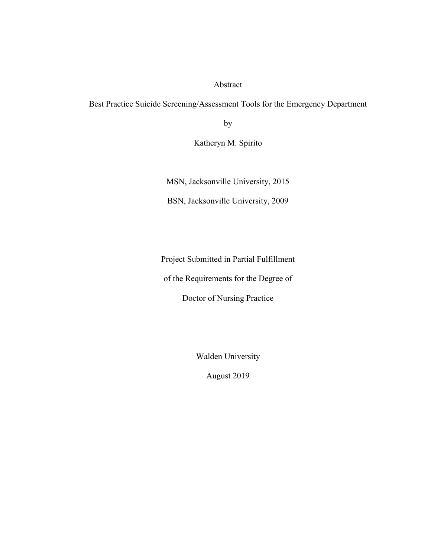#### Abstract

Best Practice Suicide Screening/Assessment Tools for the Emergency Department

by

Katheryn M. Spirito

MSN, Jacksonville University, 2015

BSN, Jacksonville University, 2009

Project Submitted in Partial Fulfillment

of the Requirements for the Degree of

Doctor of Nursing Practice

Walden University

August 2019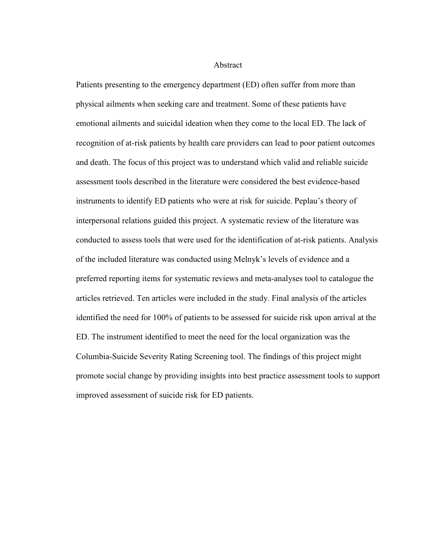**Abstract** 

Patients presenting to the emergency department (ED) often suffer from more than physical ailments when seeking care and treatment. Some of these patients have emotional ailments and suicidal ideation when they come to the local ED. The lack of recognition of at-risk patients by health care providers can lead to poor patient outcomes and death. The focus of this project was to understand which valid and reliable suicide assessment tools described in the literature were considered the best evidence-based instruments to identify ED patients who were at risk for suicide. Peplau's theory of interpersonal relations guided this project. A systematic review of the literature was conducted to assess tools that were used for the identification of at-risk patients. Analysis of the included literature was conducted using Melnyk's levels of evidence and a preferred reporting items for systematic reviews and meta-analyses tool to catalogue the articles retrieved. Ten articles were included in the study. Final analysis of the articles identified the need for 100% of patients to be assessed for suicide risk upon arrival at the ED. The instrument identified to meet the need for the local organization was the Columbia-Suicide Severity Rating Screening tool. The findings of this project might promote social change by providing insights into best practice assessment tools to support improved assessment of suicide risk for ED patients.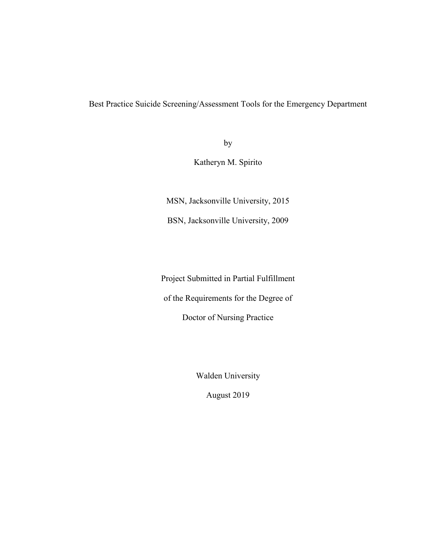Best Practice Suicide Screening/Assessment Tools for the Emergency Department

by

Katheryn M. Spirito

MSN, Jacksonville University, 2015

BSN, Jacksonville University, 2009

Project Submitted in Partial Fulfillment

of the Requirements for the Degree of

Doctor of Nursing Practice

Walden University

August 2019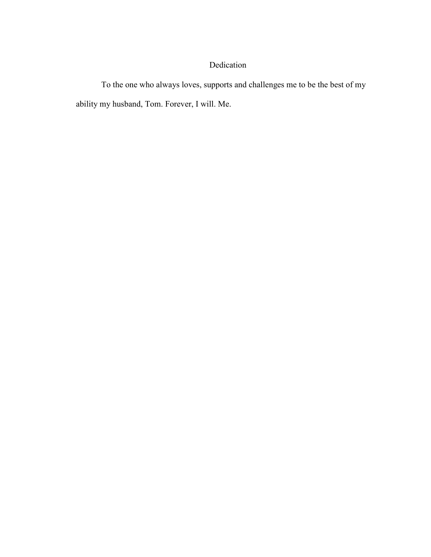## Dedication

To the one who always loves, supports and challenges me to be the best of my ability my husband, Tom. Forever, I will. Me.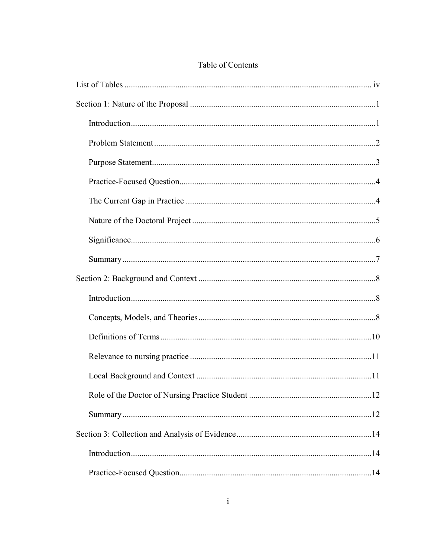## Table of Contents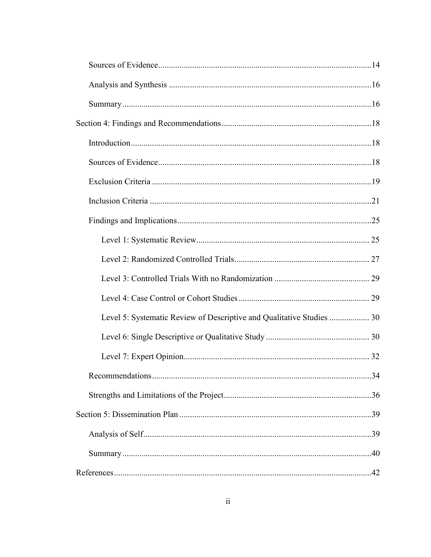| Level 5: Systematic Review of Descriptive and Qualitative Studies  30 |  |
|-----------------------------------------------------------------------|--|
|                                                                       |  |
|                                                                       |  |
|                                                                       |  |
|                                                                       |  |
|                                                                       |  |
|                                                                       |  |
|                                                                       |  |
|                                                                       |  |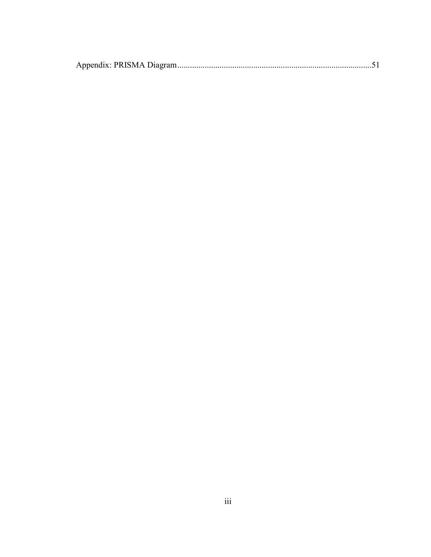|--|--|--|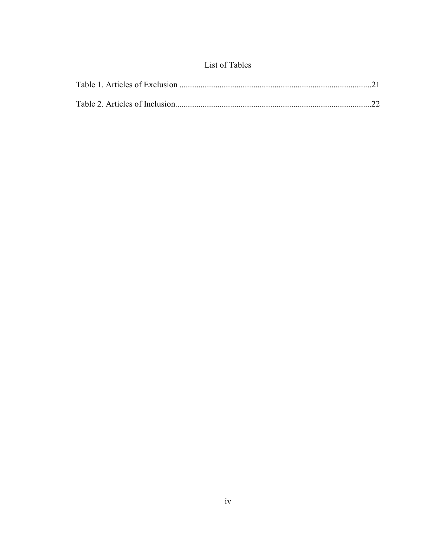## List of Tables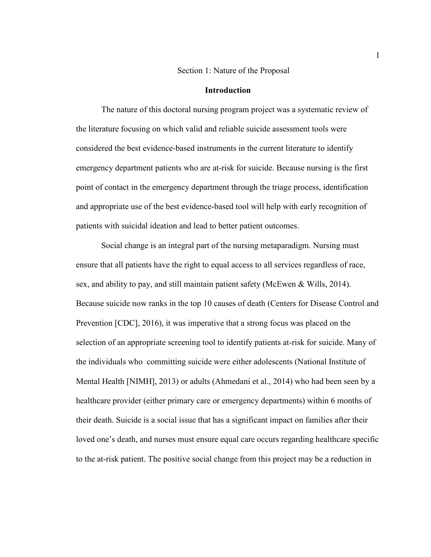#### Section 1: Nature of the Proposal

#### **Introduction**

The nature of this doctoral nursing program project was a systematic review of the literature focusing on which valid and reliable suicide assessment tools were considered the best evidence-based instruments in the current literature to identify emergency department patients who are at-risk for suicide. Because nursing is the first point of contact in the emergency department through the triage process, identification and appropriate use of the best evidence-based tool will help with early recognition of patients with suicidal ideation and lead to better patient outcomes.

Social change is an integral part of the nursing metaparadigm. Nursing must ensure that all patients have the right to equal access to all services regardless of race, sex, and ability to pay, and still maintain patient safety (McEwen & Wills, 2014). Because suicide now ranks in the top 10 causes of death (Centers for Disease Control and Prevention [CDC], 2016), it was imperative that a strong focus was placed on the selection of an appropriate screening tool to identify patients at-risk for suicide. Many of the individuals who committing suicide were either adolescents (National Institute of Mental Health [NIMH], 2013) or adults (Ahmedani et al., 2014) who had been seen by a healthcare provider (either primary care or emergency departments) within 6 months of their death. Suicide is a social issue that has a significant impact on families after their loved one's death, and nurses must ensure equal care occurs regarding healthcare specific to the at-risk patient. The positive social change from this project may be a reduction in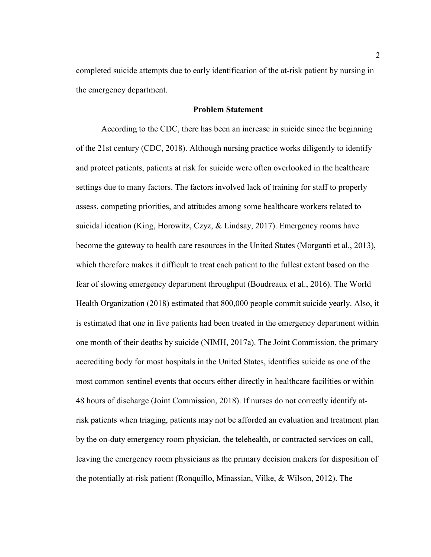completed suicide attempts due to early identification of the at-risk patient by nursing in the emergency department.

#### **Problem Statement**

According to the CDC, there has been an increase in suicide since the beginning of the 21st century (CDC, 2018). Although nursing practice works diligently to identify and protect patients, patients at risk for suicide were often overlooked in the healthcare settings due to many factors. The factors involved lack of training for staff to properly assess, competing priorities, and attitudes among some healthcare workers related to suicidal ideation (King, Horowitz, Czyz, & Lindsay, 2017). Emergency rooms have become the gateway to health care resources in the United States (Morganti et al., 2013), which therefore makes it difficult to treat each patient to the fullest extent based on the fear of slowing emergency department throughput (Boudreaux et al., 2016). The World Health Organization (2018) estimated that 800,000 people commit suicide yearly. Also, it is estimated that one in five patients had been treated in the emergency department within one month of their deaths by suicide (NIMH, 2017a). The Joint Commission, the primary accrediting body for most hospitals in the United States, identifies suicide as one of the most common sentinel events that occurs either directly in healthcare facilities or within 48 hours of discharge (Joint Commission, 2018). If nurses do not correctly identify atrisk patients when triaging, patients may not be afforded an evaluation and treatment plan by the on-duty emergency room physician, the telehealth, or contracted services on call, leaving the emergency room physicians as the primary decision makers for disposition of the potentially at-risk patient (Ronquillo, Minassian, Vilke, & Wilson, 2012). The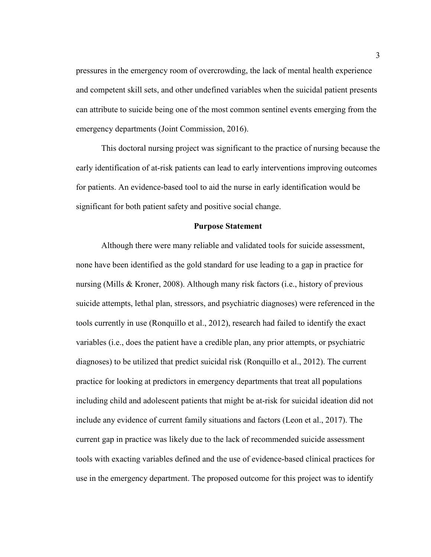pressures in the emergency room of overcrowding, the lack of mental health experience and competent skill sets, and other undefined variables when the suicidal patient presents can attribute to suicide being one of the most common sentinel events emerging from the emergency departments (Joint Commission, 2016).

This doctoral nursing project was significant to the practice of nursing because the early identification of at-risk patients can lead to early interventions improving outcomes for patients. An evidence-based tool to aid the nurse in early identification would be significant for both patient safety and positive social change.

#### **Purpose Statement**

Although there were many reliable and validated tools for suicide assessment, none have been identified as the gold standard for use leading to a gap in practice for nursing (Mills & Kroner, 2008). Although many risk factors (i.e., history of previous suicide attempts, lethal plan, stressors, and psychiatric diagnoses) were referenced in the tools currently in use (Ronquillo et al., 2012), research had failed to identify the exact variables (i.e., does the patient have a credible plan, any prior attempts, or psychiatric diagnoses) to be utilized that predict suicidal risk (Ronquillo et al., 2012). The current practice for looking at predictors in emergency departments that treat all populations including child and adolescent patients that might be at-risk for suicidal ideation did not include any evidence of current family situations and factors (Leon et al., 2017). The current gap in practice was likely due to the lack of recommended suicide assessment tools with exacting variables defined and the use of evidence-based clinical practices for use in the emergency department. The proposed outcome for this project was to identify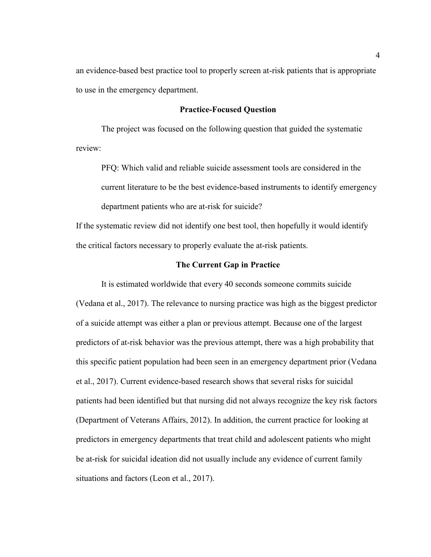an evidence-based best practice tool to properly screen at-risk patients that is appropriate to use in the emergency department.

#### **Practice-Focused Question**

The project was focused on the following question that guided the systematic review:

PFQ: Which valid and reliable suicide assessment tools are considered in the current literature to be the best evidence-based instruments to identify emergency department patients who are at-risk for suicide?

If the systematic review did not identify one best tool, then hopefully it would identify the critical factors necessary to properly evaluate the at-risk patients.

#### **The Current Gap in Practice**

It is estimated worldwide that every 40 seconds someone commits suicide (Vedana et al., 2017). The relevance to nursing practice was high as the biggest predictor of a suicide attempt was either a plan or previous attempt. Because one of the largest predictors of at-risk behavior was the previous attempt, there was a high probability that this specific patient population had been seen in an emergency department prior (Vedana et al., 2017). Current evidence-based research shows that several risks for suicidal patients had been identified but that nursing did not always recognize the key risk factors (Department of Veterans Affairs, 2012). In addition, the current practice for looking at predictors in emergency departments that treat child and adolescent patients who might be at-risk for suicidal ideation did not usually include any evidence of current family situations and factors (Leon et al., 2017).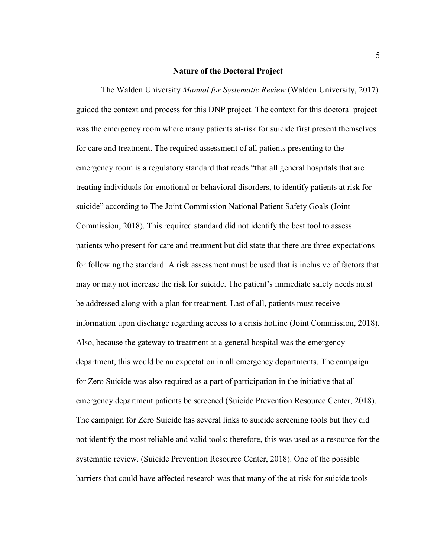#### **Nature of the Doctoral Project**

The Walden University *Manual for Systematic Review* (Walden University, 2017) guided the context and process for this DNP project. The context for this doctoral project was the emergency room where many patients at-risk for suicide first present themselves for care and treatment. The required assessment of all patients presenting to the emergency room is a regulatory standard that reads "that all general hospitals that are treating individuals for emotional or behavioral disorders, to identify patients at risk for suicide" according to The Joint Commission National Patient Safety Goals (Joint Commission, 2018). This required standard did not identify the best tool to assess patients who present for care and treatment but did state that there are three expectations for following the standard: A risk assessment must be used that is inclusive of factors that may or may not increase the risk for suicide. The patient's immediate safety needs must be addressed along with a plan for treatment. Last of all, patients must receive information upon discharge regarding access to a crisis hotline (Joint Commission, 2018). Also, because the gateway to treatment at a general hospital was the emergency department, this would be an expectation in all emergency departments. The campaign for Zero Suicide was also required as a part of participation in the initiative that all emergency department patients be screened (Suicide Prevention Resource Center, 2018). The campaign for Zero Suicide has several links to suicide screening tools but they did not identify the most reliable and valid tools; therefore, this was used as a resource for the systematic review. (Suicide Prevention Resource Center, 2018). One of the possible barriers that could have affected research was that many of the at-risk for suicide tools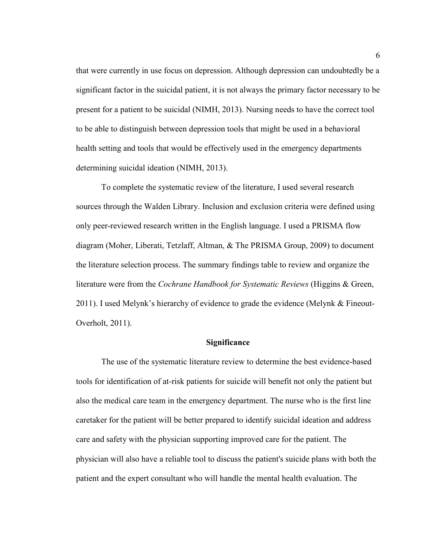that were currently in use focus on depression. Although depression can undoubtedly be a significant factor in the suicidal patient, it is not always the primary factor necessary to be present for a patient to be suicidal (NIMH, 2013). Nursing needs to have the correct tool to be able to distinguish between depression tools that might be used in a behavioral health setting and tools that would be effectively used in the emergency departments determining suicidal ideation (NIMH, 2013).

To complete the systematic review of the literature, I used several research sources through the Walden Library. Inclusion and exclusion criteria were defined using only peer-reviewed research written in the English language. I used a PRISMA flow diagram (Moher, Liberati, Tetzlaff, Altman, & The PRISMA Group, 2009) to document the literature selection process. The summary findings table to review and organize the literature were from the *Cochrane Handbook for Systematic Reviews* (Higgins & Green, 2011). I used Melynk's hierarchy of evidence to grade the evidence (Melynk & Fineout-Overholt, 2011).

#### **Significance**

The use of the systematic literature review to determine the best evidence-based tools for identification of at-risk patients for suicide will benefit not only the patient but also the medical care team in the emergency department. The nurse who is the first line caretaker for the patient will be better prepared to identify suicidal ideation and address care and safety with the physician supporting improved care for the patient. The physician will also have a reliable tool to discuss the patient's suicide plans with both the patient and the expert consultant who will handle the mental health evaluation. The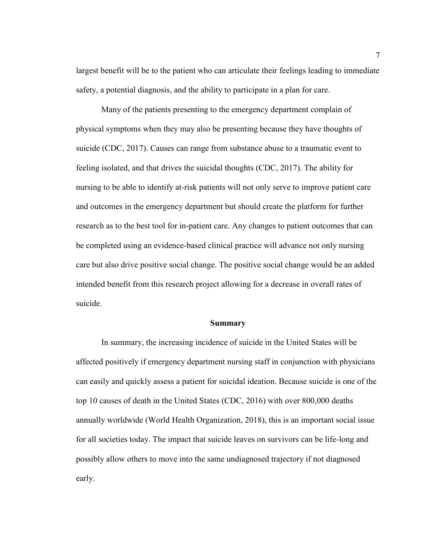largest benefit will be to the patient who can articulate their feelings leading to immediate safety, a potential diagnosis, and the ability to participate in a plan for care.

Many of the patients presenting to the emergency department complain of physical symptoms when they may also be presenting because they have thoughts of suicide (CDC, 2017). Causes can range from substance abuse to a traumatic event to feeling isolated, and that drives the suicidal thoughts (CDC, 2017). The ability for nursing to be able to identify at-risk patients will not only serve to improve patient care and outcomes in the emergency department but should create the platform for further research as to the best tool for in-patient care. Any changes to patient outcomes that can be completed using an evidence-based clinical practice will advance not only nursing care but also drive positive social change. The positive social change would be an added intended benefit from this research project allowing for a decrease in overall rates of suicide.

#### **Summary**

In summary, the increasing incidence of suicide in the United States will be affected positively if emergency department nursing staff in conjunction with physicians can easily and quickly assess a patient for suicidal ideation. Because suicide is one of the top 10 causes of death in the United States (CDC, 2016) with over 800,000 deaths annually worldwide (World Health Organization, 2018), this is an important social issue for all societies today. The impact that suicide leaves on survivors can be life-long and possibly allow others to move into the same undiagnosed trajectory if not diagnosed early.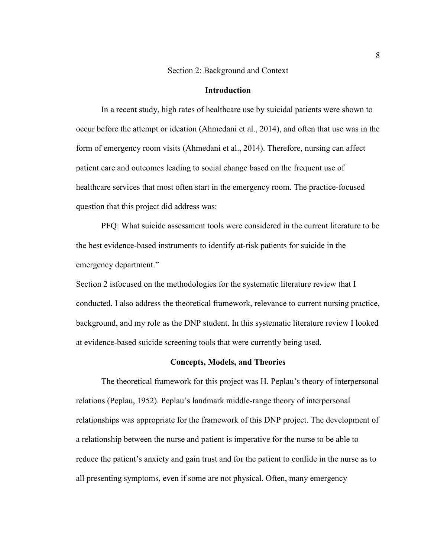#### Section 2: Background and Context

#### **Introduction**

In a recent study, high rates of healthcare use by suicidal patients were shown to occur before the attempt or ideation (Ahmedani et al., 2014), and often that use was in the form of emergency room visits (Ahmedani et al., 2014). Therefore, nursing can affect patient care and outcomes leading to social change based on the frequent use of healthcare services that most often start in the emergency room. The practice-focused question that this project did address was:

PFQ: What suicide assessment tools were considered in the current literature to be the best evidence-based instruments to identify at-risk patients for suicide in the emergency department."

Section 2 isfocused on the methodologies for the systematic literature review that I conducted. I also address the theoretical framework, relevance to current nursing practice, background, and my role as the DNP student. In this systematic literature review I looked at evidence-based suicide screening tools that were currently being used.

#### **Concepts, Models, and Theories**

The theoretical framework for this project was H. Peplau's theory of interpersonal relations (Peplau, 1952). Peplau's landmark middle-range theory of interpersonal relationships was appropriate for the framework of this DNP project. The development of a relationship between the nurse and patient is imperative for the nurse to be able to reduce the patient's anxiety and gain trust and for the patient to confide in the nurse as to all presenting symptoms, even if some are not physical. Often, many emergency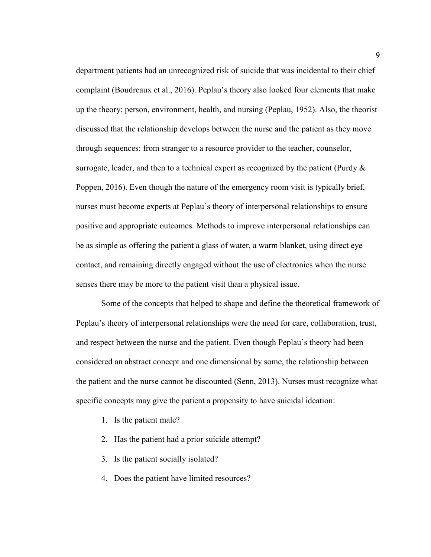department patients had an unrecognized risk of suicide that was incidental to their chief complaint (Boudreaux et al., 2016). Peplau's theory also looked four elements that make up the theory: person, environment, health, and nursing (Peplau, 1952). Also, the theorist discussed that the relationship develops between the nurse and the patient as they move through sequences: from stranger to a resource provider to the teacher, counselor, surrogate, leader, and then to a technical expert as recognized by the patient (Purdy  $\&$ Poppen, 2016). Even though the nature of the emergency room visit is typically brief, nurses must become experts at Peplau's theory of interpersonal relationships to ensure positive and appropriate outcomes. Methods to improve interpersonal relationships can be as simple as offering the patient a glass of water, a warm blanket, using direct eye contact, and remaining directly engaged without the use of electronics when the nurse senses there may be more to the patient visit than a physical issue.

Some of the concepts that helped to shape and define the theoretical framework of Peplau's theory of interpersonal relationships were the need for care, collaboration, trust, and respect between the nurse and the patient. Even though Peplau's theory had been considered an abstract concept and one dimensional by some, the relationship between the patient and the nurse cannot be discounted (Senn, 2013). Nurses must recognize what specific concepts may give the patient a propensity to have suicidal ideation:

- 1. Is the patient male?
- 2. Has the patient had a prior suicide attempt?
- 3. Is the patient socially isolated?
- 4. Does the patient have limited resources?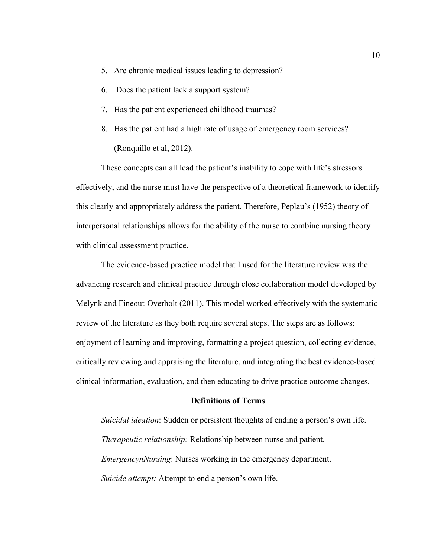- 5. Are chronic medical issues leading to depression?
- 6. Does the patient lack a support system?
- 7. Has the patient experienced childhood traumas?
- 8. Has the patient had a high rate of usage of emergency room services? (Ronquillo et al, 2012).

These concepts can all lead the patient's inability to cope with life's stressors effectively, and the nurse must have the perspective of a theoretical framework to identify this clearly and appropriately address the patient. Therefore, Peplau's (1952) theory of interpersonal relationships allows for the ability of the nurse to combine nursing theory with clinical assessment practice.

The evidence-based practice model that I used for the literature review was the advancing research and clinical practice through close collaboration model developed by Melynk and Fineout-Overholt (2011). This model worked effectively with the systematic review of the literature as they both require several steps. The steps are as follows: enjoyment of learning and improving, formatting a project question, collecting evidence, critically reviewing and appraising the literature, and integrating the best evidence-based clinical information, evaluation, and then educating to drive practice outcome changes.

#### **Definitions of Terms**

*Suicidal ideation*: Sudden or persistent thoughts of ending a person's own life. *Therapeutic relationship:* Relationship between nurse and patient. *EmergencynNursing*: Nurses working in the emergency department. *Suicide attempt:* Attempt to end a person's own life.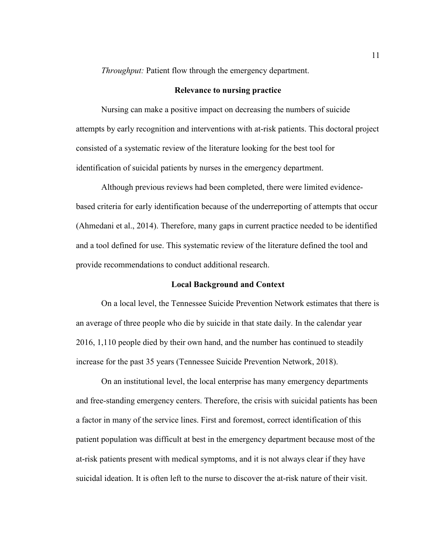*Throughput:* Patient flow through the emergency department.

#### **Relevance to nursing practice**

Nursing can make a positive impact on decreasing the numbers of suicide attempts by early recognition and interventions with at-risk patients. This doctoral project consisted of a systematic review of the literature looking for the best tool for identification of suicidal patients by nurses in the emergency department.

Although previous reviews had been completed, there were limited evidencebased criteria for early identification because of the underreporting of attempts that occur (Ahmedani et al., 2014). Therefore, many gaps in current practice needed to be identified and a tool defined for use. This systematic review of the literature defined the tool and provide recommendations to conduct additional research.

#### **Local Background and Context**

On a local level, the Tennessee Suicide Prevention Network estimates that there is an average of three people who die by suicide in that state daily. In the calendar year 2016, 1,110 people died by their own hand, and the number has continued to steadily increase for the past 35 years (Tennessee Suicide Prevention Network, 2018).

On an institutional level, the local enterprise has many emergency departments and free-standing emergency centers. Therefore, the crisis with suicidal patients has been a factor in many of the service lines. First and foremost, correct identification of this patient population was difficult at best in the emergency department because most of the at-risk patients present with medical symptoms, and it is not always clear if they have suicidal ideation. It is often left to the nurse to discover the at-risk nature of their visit.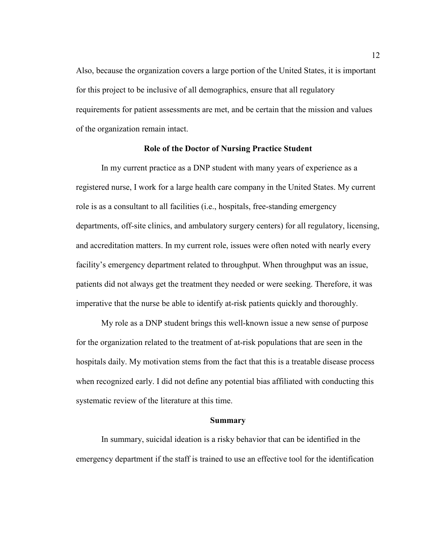Also, because the organization covers a large portion of the United States, it is important for this project to be inclusive of all demographics, ensure that all regulatory requirements for patient assessments are met, and be certain that the mission and values of the organization remain intact.

#### **Role of the Doctor of Nursing Practice Student**

In my current practice as a DNP student with many years of experience as a registered nurse, I work for a large health care company in the United States. My current role is as a consultant to all facilities (i.e., hospitals, free-standing emergency departments, off-site clinics, and ambulatory surgery centers) for all regulatory, licensing, and accreditation matters. In my current role, issues were often noted with nearly every facility's emergency department related to throughput. When throughput was an issue, patients did not always get the treatment they needed or were seeking. Therefore, it was imperative that the nurse be able to identify at-risk patients quickly and thoroughly.

My role as a DNP student brings this well-known issue a new sense of purpose for the organization related to the treatment of at-risk populations that are seen in the hospitals daily. My motivation stems from the fact that this is a treatable disease process when recognized early. I did not define any potential bias affiliated with conducting this systematic review of the literature at this time.

#### **Summary**

In summary, suicidal ideation is a risky behavior that can be identified in the emergency department if the staff is trained to use an effective tool for the identification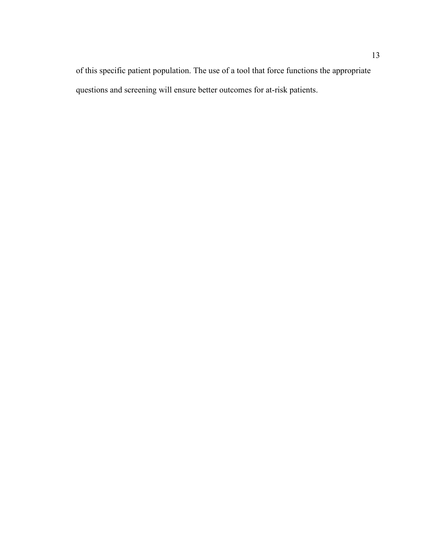of this specific patient population. The use of a tool that force functions the appropriate questions and screening will ensure better outcomes for at-risk patients.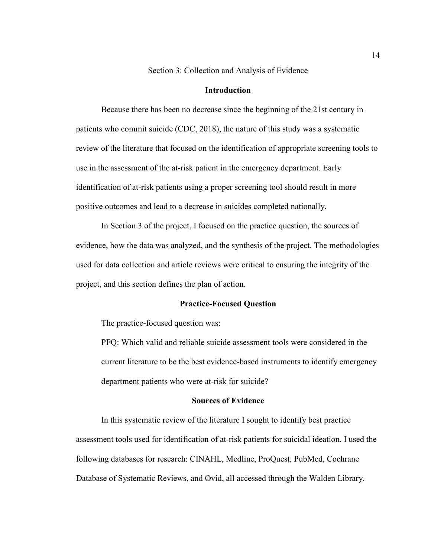Section 3: Collection and Analysis of Evidence

#### **Introduction**

Because there has been no decrease since the beginning of the 21st century in patients who commit suicide (CDC, 2018), the nature of this study was a systematic review of the literature that focused on the identification of appropriate screening tools to use in the assessment of the at-risk patient in the emergency department. Early identification of at-risk patients using a proper screening tool should result in more positive outcomes and lead to a decrease in suicides completed nationally.

In Section 3 of the project, I focused on the practice question, the sources of evidence, how the data was analyzed, and the synthesis of the project. The methodologies used for data collection and article reviews were critical to ensuring the integrity of the project, and this section defines the plan of action.

#### **Practice-Focused Question**

The practice-focused question was:

PFQ: Which valid and reliable suicide assessment tools were considered in the current literature to be the best evidence-based instruments to identify emergency department patients who were at-risk for suicide?

#### **Sources of Evidence**

In this systematic review of the literature I sought to identify best practice assessment tools used for identification of at-risk patients for suicidal ideation. I used the following databases for research: CINAHL, Medline, ProQuest, PubMed, Cochrane Database of Systematic Reviews, and Ovid, all accessed through the Walden Library.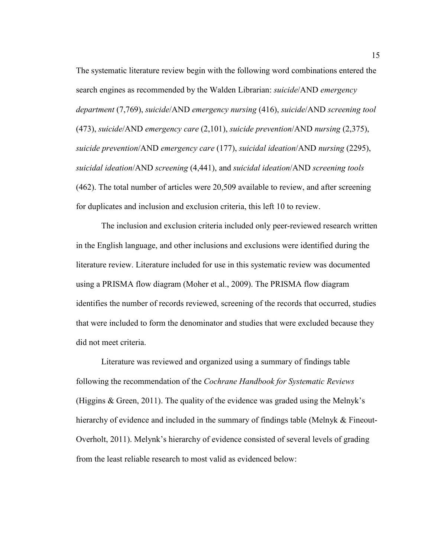The systematic literature review begin with the following word combinations entered the search engines as recommended by the Walden Librarian: *suicide*/AND *emergency department* (7,769), *suicide*/AND *emergency nursing* (416), *suicide*/AND *screening tool* (473), *suicide*/AND *emergency care* (2,101), *suicide prevention*/AND *nursing* (2,375), *suicide prevention*/AND *emergency care* (177), *suicidal ideation*/AND *nursing* (2295), *suicidal ideation*/AND *screening* (4,441), and *suicidal ideation*/AND *screening tools* (462). The total number of articles were 20,509 available to review, and after screening for duplicates and inclusion and exclusion criteria, this left 10 to review.

The inclusion and exclusion criteria included only peer-reviewed research written in the English language, and other inclusions and exclusions were identified during the literature review. Literature included for use in this systematic review was documented using a PRISMA flow diagram (Moher et al., 2009). The PRISMA flow diagram identifies the number of records reviewed, screening of the records that occurred, studies that were included to form the denominator and studies that were excluded because they did not meet criteria.

Literature was reviewed and organized using a summary of findings table following the recommendation of the *Cochrane Handbook for Systematic Reviews* (Higgins & Green, 2011). The quality of the evidence was graded using the Melnyk's hierarchy of evidence and included in the summary of findings table (Melnyk & Fineout-Overholt, 2011). Melynk's hierarchy of evidence consisted of several levels of grading from the least reliable research to most valid as evidenced below: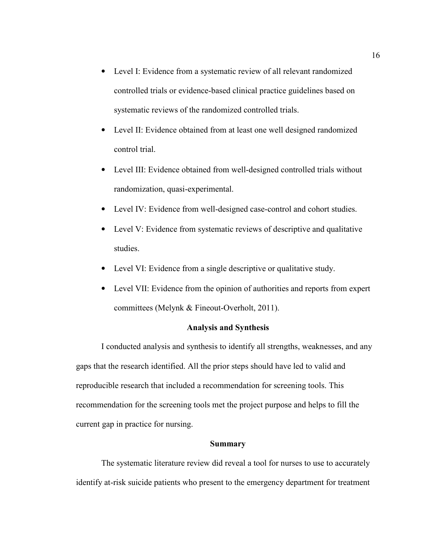- Level I: Evidence from a systematic review of all relevant randomized controlled trials or evidence-based clinical practice guidelines based on systematic reviews of the randomized controlled trials.
- Level II: Evidence obtained from at least one well designed randomized control trial.
- Level III: Evidence obtained from well-designed controlled trials without randomization, quasi-experimental.
- Level IV: Evidence from well-designed case-control and cohort studies.
- Level V: Evidence from systematic reviews of descriptive and qualitative studies.
- Level VI: Evidence from a single descriptive or qualitative study.
- Level VII: Evidence from the opinion of authorities and reports from expert committees (Melynk & Fineout-Overholt, 2011).

#### **Analysis and Synthesis**

I conducted analysis and synthesis to identify all strengths, weaknesses, and any gaps that the research identified. All the prior steps should have led to valid and reproducible research that included a recommendation for screening tools. This recommendation for the screening tools met the project purpose and helps to fill the current gap in practice for nursing.

#### **Summary**

The systematic literature review did reveal a tool for nurses to use to accurately identify at-risk suicide patients who present to the emergency department for treatment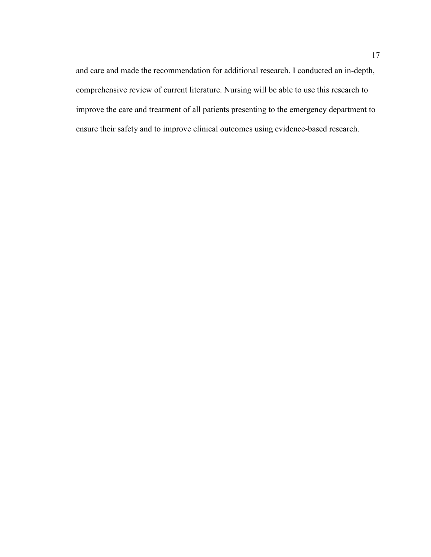and care and made the recommendation for additional research. I conducted an in-depth, comprehensive review of current literature. Nursing will be able to use this research to improve the care and treatment of all patients presenting to the emergency department to ensure their safety and to improve clinical outcomes using evidence-based research.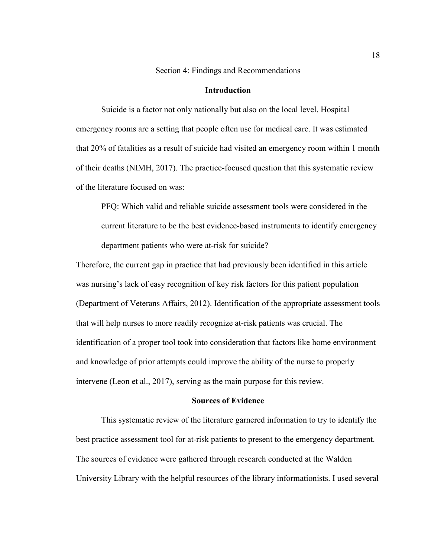Section 4: Findings and Recommendations

#### **Introduction**

Suicide is a factor not only nationally but also on the local level. Hospital emergency rooms are a setting that people often use for medical care. It was estimated that 20% of fatalities as a result of suicide had visited an emergency room within 1 month of their deaths (NIMH, 2017). The practice-focused question that this systematic review of the literature focused on was:

PFQ: Which valid and reliable suicide assessment tools were considered in the current literature to be the best evidence-based instruments to identify emergency department patients who were at-risk for suicide?

Therefore, the current gap in practice that had previously been identified in this article was nursing's lack of easy recognition of key risk factors for this patient population (Department of Veterans Affairs, 2012). Identification of the appropriate assessment tools that will help nurses to more readily recognize at-risk patients was crucial. The identification of a proper tool took into consideration that factors like home environment and knowledge of prior attempts could improve the ability of the nurse to properly intervene (Leon et al., 2017), serving as the main purpose for this review.

#### **Sources of Evidence**

This systematic review of the literature garnered information to try to identify the best practice assessment tool for at-risk patients to present to the emergency department. The sources of evidence were gathered through research conducted at the Walden University Library with the helpful resources of the library informationists. I used several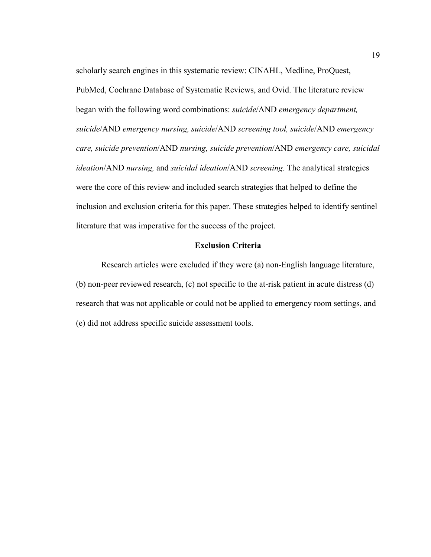scholarly search engines in this systematic review: CINAHL, Medline, ProQuest, PubMed, Cochrane Database of Systematic Reviews, and Ovid. The literature review began with the following word combinations: *suicide*/AND *emergency department, suicide*/AND *emergency nursing, suicide*/AND *screening tool, suicide*/AND *emergency care, suicide prevention*/AND *nursing, suicide prevention*/AND *emergency care, suicidal ideation*/AND *nursing,* and *suicidal ideation*/AND *screening.* The analytical strategies were the core of this review and included search strategies that helped to define the inclusion and exclusion criteria for this paper. These strategies helped to identify sentinel literature that was imperative for the success of the project.

#### **Exclusion Criteria**

Research articles were excluded if they were (a) non-English language literature, (b) non-peer reviewed research, (c) not specific to the at-risk patient in acute distress (d) research that was not applicable or could not be applied to emergency room settings, and (e) did not address specific suicide assessment tools.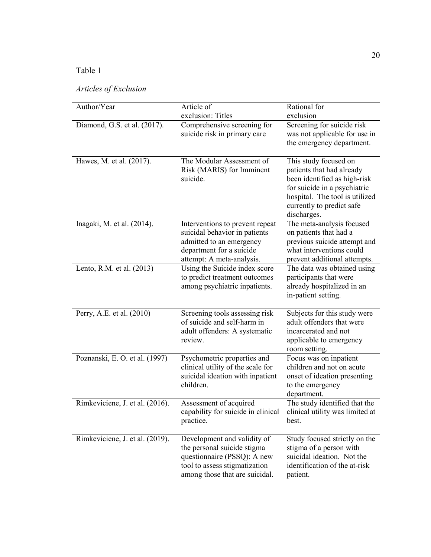## Table 1

## *Articles of Exclusion*

| Author/Year                     | Article of<br>exclusion: Titles                                                                                                                              | Rational for<br>exclusion                                                                                                                                                                        |
|---------------------------------|--------------------------------------------------------------------------------------------------------------------------------------------------------------|--------------------------------------------------------------------------------------------------------------------------------------------------------------------------------------------------|
| Diamond, G.S. et al. (2017).    | Comprehensive screening for<br>suicide risk in primary care                                                                                                  | Screening for suicide risk<br>was not applicable for use in<br>the emergency department.                                                                                                         |
| Hawes, M. et al. (2017).        | The Modular Assessment of<br>Risk (MARIS) for Imminent<br>suicide.                                                                                           | This study focused on<br>patients that had already<br>been identified as high-risk<br>for suicide in a psychiatric<br>hospital. The tool is utilized<br>currently to predict safe<br>discharges. |
| Inagaki, M. et al. (2014).      | Interventions to prevent repeat<br>suicidal behavior in patients<br>admitted to an emergency<br>department for a suicide<br>attempt: A meta-analysis.        | The meta-analysis focused<br>on patients that had a<br>previous suicide attempt and<br>what interventions could<br>prevent additional attempts.                                                  |
| Lento, R.M. et al. (2013)       | Using the Suicide index score<br>to predict treatment outcomes<br>among psychiatric inpatients.                                                              | The data was obtained using<br>participants that were<br>already hospitalized in an<br>in-patient setting.                                                                                       |
| Perry, A.E. et al. (2010)       | Screening tools assessing risk<br>of suicide and self-harm in<br>adult offenders: A systematic<br>review.                                                    | Subjects for this study were<br>adult offenders that were<br>incarcerated and not<br>applicable to emergency<br>room setting.                                                                    |
| Poznanski, E. O. et al. (1997)  | Psychometric properties and<br>clinical utility of the scale for<br>suicidal ideation with inpatient<br>children.                                            | Focus was on inpatient<br>children and not on acute<br>onset of ideation presenting<br>to the emergency<br>department.                                                                           |
| Rimkeviciene, J. et al. (2016). | Assessment of acquired<br>capability for suicide in clinical clinical utility was limited at<br>practice.                                                    | The study identified that the<br>best.                                                                                                                                                           |
| Rimkeviciene, J. et al. (2019). | Development and validity of<br>the personal suicide stigma<br>questionnaire (PSSQ): A new<br>tool to assess stigmatization<br>among those that are suicidal. | Study focused strictly on the<br>stigma of a person with<br>suicidal ideation. Not the<br>identification of the at-risk<br>patient.                                                              |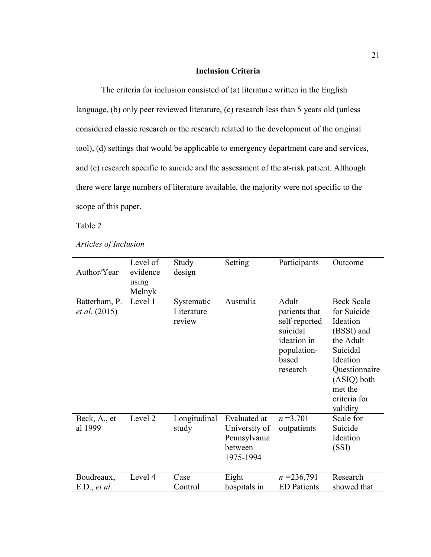#### **Inclusion Criteria**

The criteria for inclusion consisted of (a) literature written in the English language, (b) only peer reviewed literature, (c) research less than 5 years old (unless considered classic research or the research related to the development of the original tool), (d) settings that would be applicable to emergency department care and services, and (e) research specific to suicide and the assessment of the at-risk patient. Although there were large numbers of literature available, the majority were not specific to the scope of this paper.

Table 2

*Articles of Inclusion* 

| Author/Year                           | Level of<br>evidence<br>using<br>Melnyk | Study<br>design                    | Setting                                                                      | Participants                                                                                           | Outcome                                                                                                                                                                |
|---------------------------------------|-----------------------------------------|------------------------------------|------------------------------------------------------------------------------|--------------------------------------------------------------------------------------------------------|------------------------------------------------------------------------------------------------------------------------------------------------------------------------|
| Batterham, P.<br><i>et al.</i> (2015) | Level 1                                 | Systematic<br>Literature<br>review | Australia                                                                    | Adult<br>patients that<br>self-reported<br>suicidal<br>ideation in<br>population-<br>based<br>research | <b>Beck Scale</b><br>for Suicide<br>Ideation<br>(BSSI) and<br>the Adult<br>Suicidal<br>Ideation<br>Questionnaire<br>(ASIQ) both<br>met the<br>criteria for<br>validity |
| Beck, A., et<br>al 1999               | Level 2                                 | Longitudinal<br>study              | <b>Evaluated</b> at<br>University of<br>Pennsylvania<br>between<br>1975-1994 | $n = 3.701$<br>outpatients                                                                             | Scale for<br>Suicide<br>Ideation<br>(SSI)                                                                                                                              |
| Boudreaux,<br>E.D., et al.            | Level 4                                 | Case<br>Control                    | Eight<br>hospitals in                                                        | $n = 236,791$<br><b>ED</b> Patients                                                                    | Research<br>showed that                                                                                                                                                |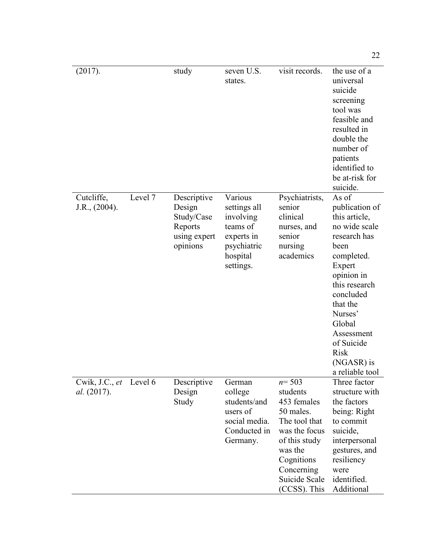| (2017).                       |         | study                                                                      | seven U.S.<br>states.                                                                                  | visit records.                                                                                                                                                               | the use of a<br>universal<br>suicide<br>screening<br>tool was<br>feasible and<br>resulted in<br>double the<br>number of<br>patients<br>identified to<br>be at-risk for<br>suicide.                                                                                 |
|-------------------------------|---------|----------------------------------------------------------------------------|--------------------------------------------------------------------------------------------------------|------------------------------------------------------------------------------------------------------------------------------------------------------------------------------|--------------------------------------------------------------------------------------------------------------------------------------------------------------------------------------------------------------------------------------------------------------------|
| Cutcliffe,<br>J.R., (2004).   | Level 7 | Descriptive<br>Design<br>Study/Case<br>Reports<br>using expert<br>opinions | Various<br>settings all<br>involving<br>teams of<br>experts in<br>psychiatric<br>hospital<br>settings. | Psychiatrists,<br>senior<br>clinical<br>nurses, and<br>senior<br>nursing<br>academics                                                                                        | As of<br>publication of<br>this article,<br>no wide scale<br>research has<br>been<br>completed.<br>Expert<br>opinion in<br>this research<br>concluded<br>that the<br>Nurses'<br>Global<br>Assessment<br>of Suicide<br><b>Risk</b><br>(NGASR) is<br>a reliable tool |
| Cwik, J.C., et<br>al. (2017). | Level 6 | Descriptive<br>Design<br>Study                                             | German<br>college<br>students/and<br>users of<br>social media.<br>Conducted in<br>Germany.             | $n = 503$<br>students<br>453 females<br>50 males.<br>The tool that<br>was the focus<br>of this study<br>was the<br>Cognitions<br>Concerning<br>Suicide Scale<br>(CCSS). This | Three factor<br>structure with<br>the factors<br>being: Right<br>to commit<br>suicide,<br>interpersonal<br>gestures, and<br>resiliency<br>were<br>identified.<br>Additional                                                                                        |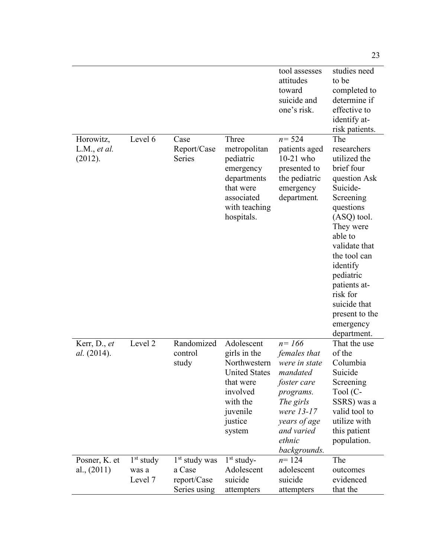|                                      |                                 |                                                          |                                                                                                                                          | tool assesses<br>attitudes<br>toward<br>suicide and<br>one's risk.                                                                                                    | studies need<br>to be<br>completed to<br>determine if<br>effective to<br>identify at-<br>risk patients.                                                                                                                                                                                           |
|--------------------------------------|---------------------------------|----------------------------------------------------------|------------------------------------------------------------------------------------------------------------------------------------------|-----------------------------------------------------------------------------------------------------------------------------------------------------------------------|---------------------------------------------------------------------------------------------------------------------------------------------------------------------------------------------------------------------------------------------------------------------------------------------------|
| Horowitz,<br>L.M., et al.<br>(2012). | Level 6                         | Case<br>Report/Case<br><b>Series</b>                     | Three<br>metropolitan<br>pediatric<br>emergency<br>departments<br>that were<br>associated<br>with teaching<br>hospitals.                 | $n = 524$<br>patients aged<br>$10-21$ who<br>presented to<br>the pediatric<br>emergency<br>department.                                                                | The<br>researchers<br>utilized the<br>brief four<br>question Ask<br>Suicide-<br>Screening<br>questions<br>(ASQ) tool.<br>They were<br>able to<br>validate that<br>the tool can<br>identify<br>pediatric<br>patients at-<br>risk for<br>suicide that<br>present to the<br>emergency<br>department. |
| Kerr, D., et<br><i>al.</i> (2014).   | Level 2                         | Randomized<br>control<br>study                           | Adolescent<br>girls in the<br>Northwestern<br><b>United States</b><br>that were<br>involved<br>with the<br>juvenile<br>justice<br>system | $n = 166$<br>females that<br>were in state<br>mandated<br>foster care<br>programs.<br>The girls<br>were 13-17<br>years of age<br>and varied<br>ethnic<br>backgrounds. | That the use<br>of the<br>Columbia<br>Suicide<br>Screening<br>Tool (C-<br>SSRS) was a<br>valid tool to<br>utilize with<br>this patient<br>population.                                                                                                                                             |
| Posner, K. et<br>al., $(2011)$       | $1st$ study<br>was a<br>Level 7 | $1st$ study was<br>a Case<br>report/Case<br>Series using | $1st$ study-<br>Adolescent<br>suicide<br>attempters                                                                                      | $n = 124$<br>adolescent<br>suicide<br>attempters                                                                                                                      | The<br>outcomes<br>evidenced<br>that the                                                                                                                                                                                                                                                          |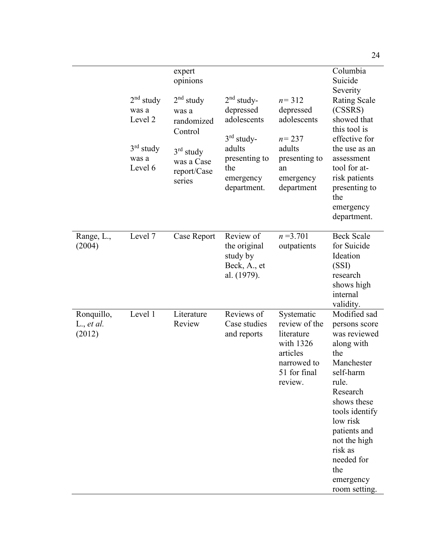|                                              | $2nd$ study<br>was a<br>Level 2<br>$3rd$ study<br>was a<br>Level 6 | expert<br>opinions<br>$2nd$ study<br>was a<br>randomized<br>Control<br>$3rd$ study<br>was a Case<br>report/Case<br>series | $2nd$ study-<br>depressed<br>adolescents<br>$3rd$ study-<br>adults<br>presenting to<br>the<br>emergency<br>department. | $n = 312$<br>depressed<br>adolescents<br>$n = 237$<br>adults<br>presenting to<br>an<br>emergency<br>department | Columbia<br>Suicide<br>Severity<br><b>Rating Scale</b><br>(CSSRS)<br>showed that<br>this tool is<br>effective for<br>the use as an<br>assessment<br>tool for at-<br>risk patients<br>presenting to<br>the<br>emergency<br>department.                         |
|----------------------------------------------|--------------------------------------------------------------------|---------------------------------------------------------------------------------------------------------------------------|------------------------------------------------------------------------------------------------------------------------|----------------------------------------------------------------------------------------------------------------|---------------------------------------------------------------------------------------------------------------------------------------------------------------------------------------------------------------------------------------------------------------|
| Range, L.,<br>(2004)                         | Level 7                                                            | Case Report                                                                                                               | Review of<br>the original<br>study by<br>Beck, A., et<br>al. (1979).                                                   | $n = 3.701$<br>outpatients                                                                                     | <b>Beck Scale</b><br>for Suicide<br>Ideation<br>(SSI)<br>research<br>shows high<br>internal<br>validity.                                                                                                                                                      |
| Ronquillo,<br>$L_{\cdot}$ , et al.<br>(2012) | Level 1                                                            | Literature<br>Review                                                                                                      | Reviews of<br>Case studies<br>and reports                                                                              | Systematic<br>review of the<br>literature<br>with 1326<br>articles<br>narrowed to<br>51 for final<br>review.   | Modified sad<br>persons score<br>was reviewed<br>along with<br>the<br>Manchester<br>self-harm<br>rule.<br>Research<br>shows these<br>tools identify<br>low risk<br>patients and<br>not the high<br>risk as<br>needed for<br>the<br>emergency<br>room setting. |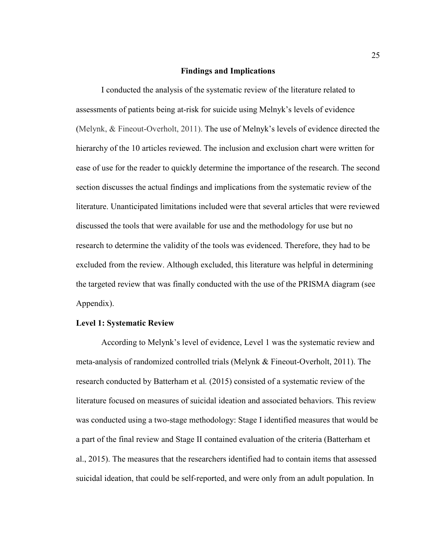#### **Findings and Implications**

I conducted the analysis of the systematic review of the literature related to assessments of patients being at-risk for suicide using Melnyk's levels of evidence (Melynk, & Fineout-Overholt, 2011). The use of Melnyk's levels of evidence directed the hierarchy of the 10 articles reviewed. The inclusion and exclusion chart were written for ease of use for the reader to quickly determine the importance of the research. The second section discusses the actual findings and implications from the systematic review of the literature. Unanticipated limitations included were that several articles that were reviewed discussed the tools that were available for use and the methodology for use but no research to determine the validity of the tools was evidenced. Therefore, they had to be excluded from the review. Although excluded, this literature was helpful in determining the targeted review that was finally conducted with the use of the PRISMA diagram (see Appendix).

#### **Level 1: Systematic Review**

According to Melynk's level of evidence, Level 1 was the systematic review and meta-analysis of randomized controlled trials (Melynk & Fineout-Overholt, 2011). The research conducted by Batterham et al*.* (2015) consisted of a systematic review of the literature focused on measures of suicidal ideation and associated behaviors. This review was conducted using a two-stage methodology: Stage I identified measures that would be a part of the final review and Stage II contained evaluation of the criteria (Batterham et al., 2015). The measures that the researchers identified had to contain items that assessed suicidal ideation, that could be self-reported, and were only from an adult population. In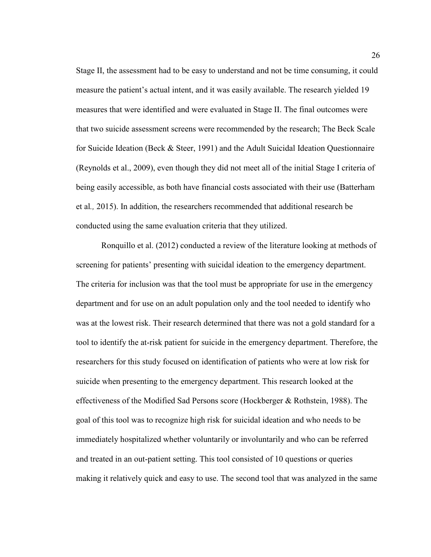Stage II, the assessment had to be easy to understand and not be time consuming, it could measure the patient's actual intent, and it was easily available. The research yielded 19 measures that were identified and were evaluated in Stage II. The final outcomes were that two suicide assessment screens were recommended by the research; The Beck Scale for Suicide Ideation (Beck & Steer, 1991) and the Adult Suicidal Ideation Questionnaire (Reynolds et al., 2009), even though they did not meet all of the initial Stage I criteria of being easily accessible, as both have financial costs associated with their use (Batterham et al*.,* 2015). In addition, the researchers recommended that additional research be conducted using the same evaluation criteria that they utilized.

Ronquillo et al. (2012) conducted a review of the literature looking at methods of screening for patients' presenting with suicidal ideation to the emergency department. The criteria for inclusion was that the tool must be appropriate for use in the emergency department and for use on an adult population only and the tool needed to identify who was at the lowest risk. Their research determined that there was not a gold standard for a tool to identify the at-risk patient for suicide in the emergency department. Therefore, the researchers for this study focused on identification of patients who were at low risk for suicide when presenting to the emergency department. This research looked at the effectiveness of the Modified Sad Persons score (Hockberger & Rothstein, 1988). The goal of this tool was to recognize high risk for suicidal ideation and who needs to be immediately hospitalized whether voluntarily or involuntarily and who can be referred and treated in an out-patient setting. This tool consisted of 10 questions or queries making it relatively quick and easy to use. The second tool that was analyzed in the same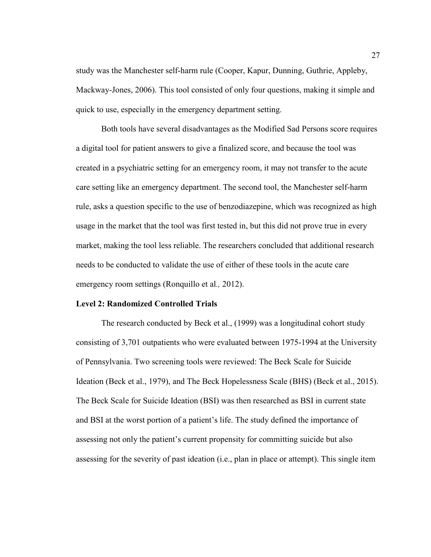study was the Manchester self-harm rule (Cooper, Kapur, Dunning, Guthrie, Appleby, Mackway-Jones, 2006). This tool consisted of only four questions, making it simple and quick to use, especially in the emergency department setting.

Both tools have several disadvantages as the Modified Sad Persons score requires a digital tool for patient answers to give a finalized score, and because the tool was created in a psychiatric setting for an emergency room, it may not transfer to the acute care setting like an emergency department. The second tool, the Manchester self-harm rule, asks a question specific to the use of benzodiazepine, which was recognized as high usage in the market that the tool was first tested in, but this did not prove true in every market, making the tool less reliable. The researchers concluded that additional research needs to be conducted to validate the use of either of these tools in the acute care emergency room settings (Ronquillo et al*.,* 2012).

#### **Level 2: Randomized Controlled Trials**

The research conducted by Beck et al., (1999) was a longitudinal cohort study consisting of 3,701 outpatients who were evaluated between 1975-1994 at the University of Pennsylvania. Two screening tools were reviewed: The Beck Scale for Suicide Ideation (Beck et al., 1979), and The Beck Hopelessness Scale (BHS) (Beck et al., 2015). The Beck Scale for Suicide Ideation (BSI) was then researched as BSI in current state and BSI at the worst portion of a patient's life. The study defined the importance of assessing not only the patient's current propensity for committing suicide but also assessing for the severity of past ideation (i.e., plan in place or attempt). This single item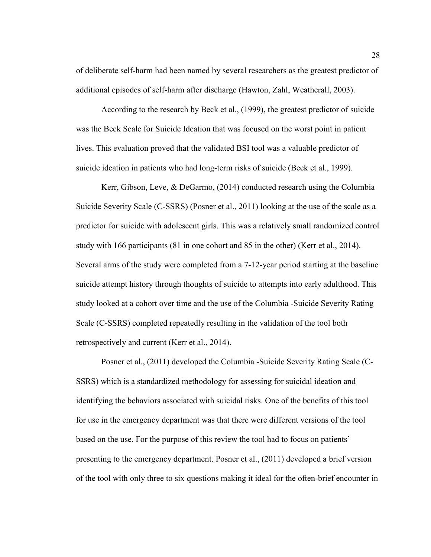of deliberate self-harm had been named by several researchers as the greatest predictor of additional episodes of self-harm after discharge (Hawton, Zahl, Weatherall, 2003).

According to the research by Beck et al., (1999), the greatest predictor of suicide was the Beck Scale for Suicide Ideation that was focused on the worst point in patient lives. This evaluation proved that the validated BSI tool was a valuable predictor of suicide ideation in patients who had long-term risks of suicide (Beck et al., 1999).

Kerr, Gibson, Leve, & DeGarmo, (2014) conducted research using the Columbia Suicide Severity Scale (C-SSRS) (Posner et al., 2011) looking at the use of the scale as a predictor for suicide with adolescent girls. This was a relatively small randomized control study with 166 participants (81 in one cohort and 85 in the other) (Kerr et al., 2014). Several arms of the study were completed from a 7-12-year period starting at the baseline suicide attempt history through thoughts of suicide to attempts into early adulthood. This study looked at a cohort over time and the use of the Columbia -Suicide Severity Rating Scale (C-SSRS) completed repeatedly resulting in the validation of the tool both retrospectively and current (Kerr et al., 2014).

Posner et al., (2011) developed the Columbia -Suicide Severity Rating Scale (C-SSRS) which is a standardized methodology for assessing for suicidal ideation and identifying the behaviors associated with suicidal risks. One of the benefits of this tool for use in the emergency department was that there were different versions of the tool based on the use. For the purpose of this review the tool had to focus on patients' presenting to the emergency department. Posner et al., (2011) developed a brief version of the tool with only three to six questions making it ideal for the often-brief encounter in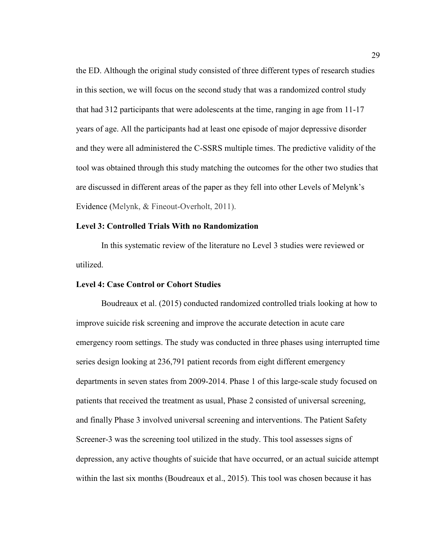the ED. Although the original study consisted of three different types of research studies in this section, we will focus on the second study that was a randomized control study that had 312 participants that were adolescents at the time, ranging in age from 11-17 years of age. All the participants had at least one episode of major depressive disorder and they were all administered the C-SSRS multiple times. The predictive validity of the tool was obtained through this study matching the outcomes for the other two studies that are discussed in different areas of the paper as they fell into other Levels of Melynk's Evidence (Melynk, & Fineout-Overholt, 2011).

### **Level 3: Controlled Trials With no Randomization**

In this systematic review of the literature no Level 3 studies were reviewed or utilized.

#### **Level 4: Case Control or Cohort Studies**

Boudreaux et al. (2015) conducted randomized controlled trials looking at how to improve suicide risk screening and improve the accurate detection in acute care emergency room settings. The study was conducted in three phases using interrupted time series design looking at 236,791 patient records from eight different emergency departments in seven states from 2009-2014. Phase 1 of this large-scale study focused on patients that received the treatment as usual, Phase 2 consisted of universal screening, and finally Phase 3 involved universal screening and interventions. The Patient Safety Screener-3 was the screening tool utilized in the study. This tool assesses signs of depression, any active thoughts of suicide that have occurred, or an actual suicide attempt within the last six months (Boudreaux et al., 2015). This tool was chosen because it has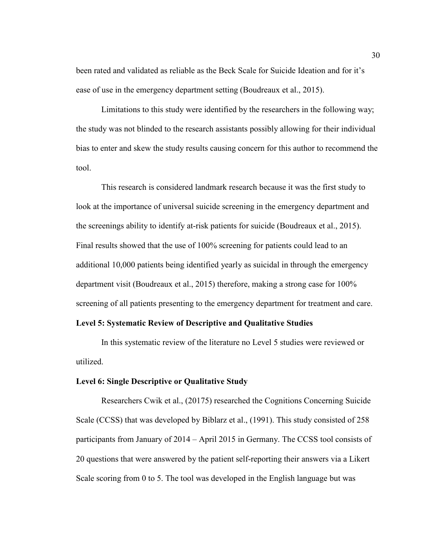been rated and validated as reliable as the Beck Scale for Suicide Ideation and for it's ease of use in the emergency department setting (Boudreaux et al., 2015).

Limitations to this study were identified by the researchers in the following way; the study was not blinded to the research assistants possibly allowing for their individual bias to enter and skew the study results causing concern for this author to recommend the tool.

This research is considered landmark research because it was the first study to look at the importance of universal suicide screening in the emergency department and the screenings ability to identify at-risk patients for suicide (Boudreaux et al., 2015). Final results showed that the use of 100% screening for patients could lead to an additional 10,000 patients being identified yearly as suicidal in through the emergency department visit (Boudreaux et al., 2015) therefore, making a strong case for 100% screening of all patients presenting to the emergency department for treatment and care.

#### **Level 5: Systematic Review of Descriptive and Qualitative Studies**

In this systematic review of the literature no Level 5 studies were reviewed or utilized.

#### **Level 6: Single Descriptive or Qualitative Study**

Researchers Cwik et al., (20175) researched the Cognitions Concerning Suicide Scale (CCSS) that was developed by Biblarz et al., (1991). This study consisted of 258 participants from January of 2014 – April 2015 in Germany. The CCSS tool consists of 20 questions that were answered by the patient self-reporting their answers via a Likert Scale scoring from 0 to 5. The tool was developed in the English language but was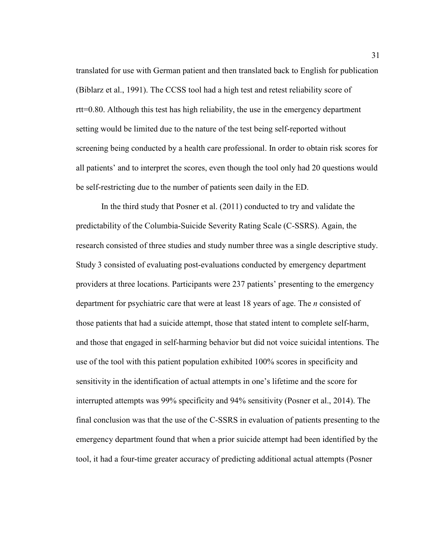translated for use with German patient and then translated back to English for publication (Biblarz et al., 1991). The CCSS tool had a high test and retest reliability score of rtt=0.80. Although this test has high reliability, the use in the emergency department setting would be limited due to the nature of the test being self-reported without screening being conducted by a health care professional. In order to obtain risk scores for all patients' and to interpret the scores, even though the tool only had 20 questions would be self-restricting due to the number of patients seen daily in the ED.

In the third study that Posner et al. (2011) conducted to try and validate the predictability of the Columbia-Suicide Severity Rating Scale (C-SSRS). Again, the research consisted of three studies and study number three was a single descriptive study. Study 3 consisted of evaluating post-evaluations conducted by emergency department providers at three locations. Participants were 237 patients' presenting to the emergency department for psychiatric care that were at least 18 years of age. The *n* consisted of those patients that had a suicide attempt, those that stated intent to complete self-harm, and those that engaged in self-harming behavior but did not voice suicidal intentions. The use of the tool with this patient population exhibited 100% scores in specificity and sensitivity in the identification of actual attempts in one's lifetime and the score for interrupted attempts was 99% specificity and 94% sensitivity (Posner et al., 2014). The final conclusion was that the use of the C-SSRS in evaluation of patients presenting to the emergency department found that when a prior suicide attempt had been identified by the tool, it had a four-time greater accuracy of predicting additional actual attempts (Posner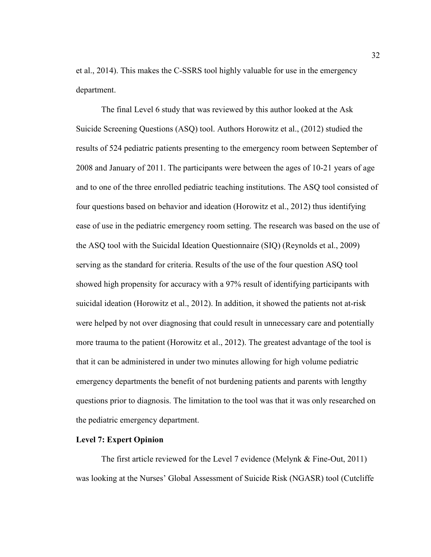et al., 2014). This makes the C-SSRS tool highly valuable for use in the emergency department.

The final Level 6 study that was reviewed by this author looked at the Ask Suicide Screening Questions (ASQ) tool. Authors Horowitz et al., (2012) studied the results of 524 pediatric patients presenting to the emergency room between September of 2008 and January of 2011. The participants were between the ages of 10-21 years of age and to one of the three enrolled pediatric teaching institutions. The ASQ tool consisted of four questions based on behavior and ideation (Horowitz et al., 2012) thus identifying ease of use in the pediatric emergency room setting. The research was based on the use of the ASQ tool with the Suicidal Ideation Questionnaire (SIQ) (Reynolds et al., 2009) serving as the standard for criteria. Results of the use of the four question ASQ tool showed high propensity for accuracy with a 97% result of identifying participants with suicidal ideation (Horowitz et al., 2012). In addition, it showed the patients not at-risk were helped by not over diagnosing that could result in unnecessary care and potentially more trauma to the patient (Horowitz et al., 2012). The greatest advantage of the tool is that it can be administered in under two minutes allowing for high volume pediatric emergency departments the benefit of not burdening patients and parents with lengthy questions prior to diagnosis. The limitation to the tool was that it was only researched on the pediatric emergency department.

#### **Level 7: Expert Opinion**

The first article reviewed for the Level 7 evidence (Melynk & Fine-Out, 2011) was looking at the Nurses' Global Assessment of Suicide Risk (NGASR) tool (Cutcliffe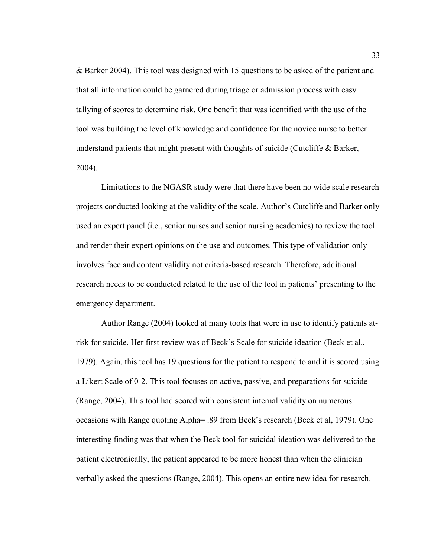& Barker 2004). This tool was designed with 15 questions to be asked of the patient and that all information could be garnered during triage or admission process with easy tallying of scores to determine risk. One benefit that was identified with the use of the tool was building the level of knowledge and confidence for the novice nurse to better understand patients that might present with thoughts of suicide (Cutcliffe & Barker, 2004).

Limitations to the NGASR study were that there have been no wide scale research projects conducted looking at the validity of the scale. Author's Cutcliffe and Barker only used an expert panel (i.e., senior nurses and senior nursing academics) to review the tool and render their expert opinions on the use and outcomes. This type of validation only involves face and content validity not criteria-based research. Therefore, additional research needs to be conducted related to the use of the tool in patients' presenting to the emergency department.

Author Range (2004) looked at many tools that were in use to identify patients atrisk for suicide. Her first review was of Beck's Scale for suicide ideation (Beck et al., 1979). Again, this tool has 19 questions for the patient to respond to and it is scored using a Likert Scale of 0-2. This tool focuses on active, passive, and preparations for suicide (Range, 2004). This tool had scored with consistent internal validity on numerous occasions with Range quoting Alpha= .89 from Beck's research (Beck et al, 1979). One interesting finding was that when the Beck tool for suicidal ideation was delivered to the patient electronically, the patient appeared to be more honest than when the clinician verbally asked the questions (Range, 2004). This opens an entire new idea for research.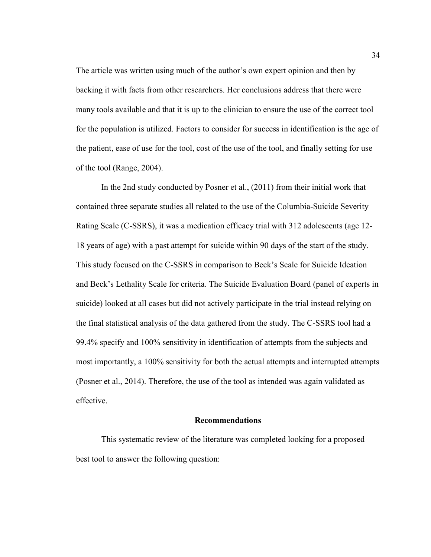The article was written using much of the author's own expert opinion and then by backing it with facts from other researchers. Her conclusions address that there were many tools available and that it is up to the clinician to ensure the use of the correct tool for the population is utilized. Factors to consider for success in identification is the age of the patient, ease of use for the tool, cost of the use of the tool, and finally setting for use of the tool (Range, 2004).

In the 2nd study conducted by Posner et al., (2011) from their initial work that contained three separate studies all related to the use of the Columbia-Suicide Severity Rating Scale (C-SSRS), it was a medication efficacy trial with 312 adolescents (age 12- 18 years of age) with a past attempt for suicide within 90 days of the start of the study. This study focused on the C-SSRS in comparison to Beck's Scale for Suicide Ideation and Beck's Lethality Scale for criteria. The Suicide Evaluation Board (panel of experts in suicide) looked at all cases but did not actively participate in the trial instead relying on the final statistical analysis of the data gathered from the study. The C-SSRS tool had a 99.4% specify and 100% sensitivity in identification of attempts from the subjects and most importantly, a 100% sensitivity for both the actual attempts and interrupted attempts (Posner et al., 2014). Therefore, the use of the tool as intended was again validated as effective.

#### **Recommendations**

This systematic review of the literature was completed looking for a proposed best tool to answer the following question: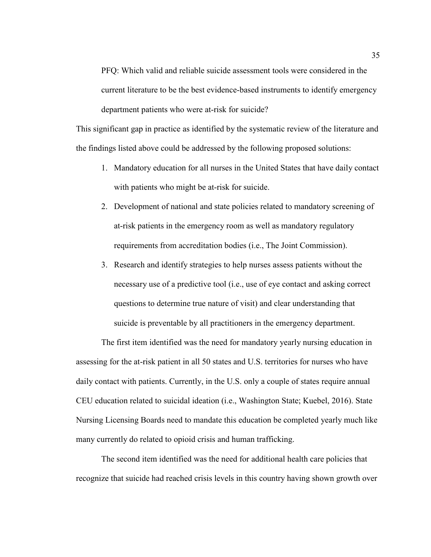PFQ: Which valid and reliable suicide assessment tools were considered in the current literature to be the best evidence-based instruments to identify emergency department patients who were at-risk for suicide?

This significant gap in practice as identified by the systematic review of the literature and the findings listed above could be addressed by the following proposed solutions:

- 1. Mandatory education for all nurses in the United States that have daily contact with patients who might be at-risk for suicide.
- 2. Development of national and state policies related to mandatory screening of at-risk patients in the emergency room as well as mandatory regulatory requirements from accreditation bodies (i.e., The Joint Commission).
- 3. Research and identify strategies to help nurses assess patients without the necessary use of a predictive tool (i.e., use of eye contact and asking correct questions to determine true nature of visit) and clear understanding that suicide is preventable by all practitioners in the emergency department.

The first item identified was the need for mandatory yearly nursing education in assessing for the at-risk patient in all 50 states and U.S. territories for nurses who have daily contact with patients. Currently, in the U.S. only a couple of states require annual CEU education related to suicidal ideation (i.e., Washington State; Kuebel, 2016). State Nursing Licensing Boards need to mandate this education be completed yearly much like many currently do related to opioid crisis and human trafficking.

The second item identified was the need for additional health care policies that recognize that suicide had reached crisis levels in this country having shown growth over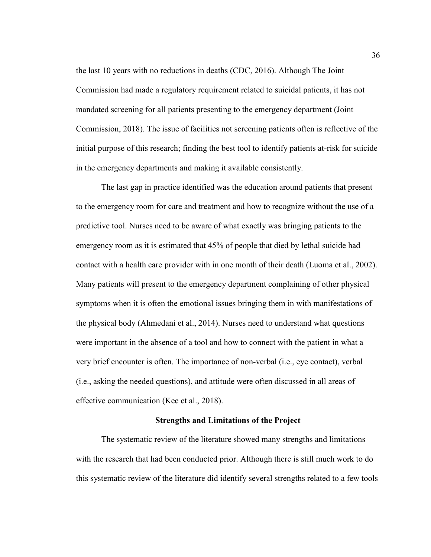the last 10 years with no reductions in deaths (CDC, 2016). Although The Joint Commission had made a regulatory requirement related to suicidal patients, it has not mandated screening for all patients presenting to the emergency department (Joint Commission, 2018). The issue of facilities not screening patients often is reflective of the initial purpose of this research; finding the best tool to identify patients at-risk for suicide in the emergency departments and making it available consistently.

The last gap in practice identified was the education around patients that present to the emergency room for care and treatment and how to recognize without the use of a predictive tool. Nurses need to be aware of what exactly was bringing patients to the emergency room as it is estimated that 45% of people that died by lethal suicide had contact with a health care provider with in one month of their death (Luoma et al., 2002). Many patients will present to the emergency department complaining of other physical symptoms when it is often the emotional issues bringing them in with manifestations of the physical body (Ahmedani et al., 2014). Nurses need to understand what questions were important in the absence of a tool and how to connect with the patient in what a very brief encounter is often. The importance of non-verbal (i.e., eye contact), verbal (i.e., asking the needed questions), and attitude were often discussed in all areas of effective communication (Kee et al., 2018).

#### **Strengths and Limitations of the Project**

The systematic review of the literature showed many strengths and limitations with the research that had been conducted prior. Although there is still much work to do this systematic review of the literature did identify several strengths related to a few tools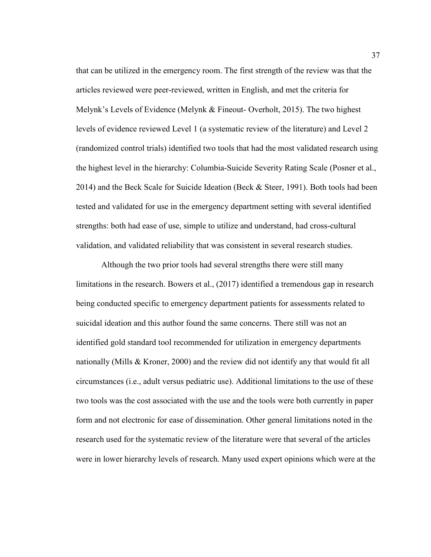that can be utilized in the emergency room. The first strength of the review was that the articles reviewed were peer-reviewed, written in English, and met the criteria for Melynk's Levels of Evidence (Melynk & Fineout- Overholt, 2015). The two highest levels of evidence reviewed Level 1 (a systematic review of the literature) and Level 2 (randomized control trials) identified two tools that had the most validated research using the highest level in the hierarchy: Columbia-Suicide Severity Rating Scale (Posner et al., 2014) and the Beck Scale for Suicide Ideation (Beck & Steer, 1991). Both tools had been tested and validated for use in the emergency department setting with several identified strengths: both had ease of use, simple to utilize and understand, had cross-cultural validation, and validated reliability that was consistent in several research studies.

Although the two prior tools had several strengths there were still many limitations in the research. Bowers et al., (2017) identified a tremendous gap in research being conducted specific to emergency department patients for assessments related to suicidal ideation and this author found the same concerns. There still was not an identified gold standard tool recommended for utilization in emergency departments nationally (Mills & Kroner, 2000) and the review did not identify any that would fit all circumstances (i.e., adult versus pediatric use). Additional limitations to the use of these two tools was the cost associated with the use and the tools were both currently in paper form and not electronic for ease of dissemination. Other general limitations noted in the research used for the systematic review of the literature were that several of the articles were in lower hierarchy levels of research. Many used expert opinions which were at the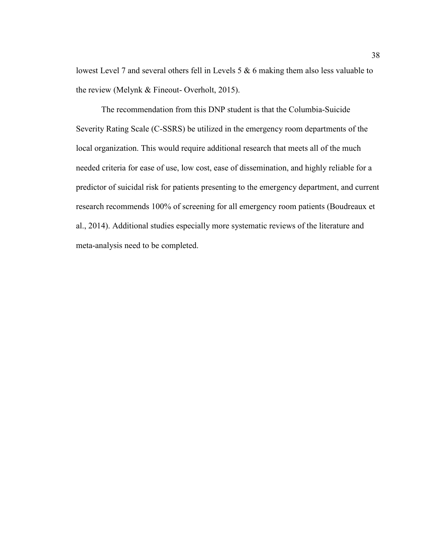lowest Level 7 and several others fell in Levels 5 & 6 making them also less valuable to the review (Melynk & Fineout- Overholt, 2015).

The recommendation from this DNP student is that the Columbia-Suicide Severity Rating Scale (C-SSRS) be utilized in the emergency room departments of the local organization. This would require additional research that meets all of the much needed criteria for ease of use, low cost, ease of dissemination, and highly reliable for a predictor of suicidal risk for patients presenting to the emergency department, and current research recommends 100% of screening for all emergency room patients (Boudreaux et al., 2014). Additional studies especially more systematic reviews of the literature and meta-analysis need to be completed.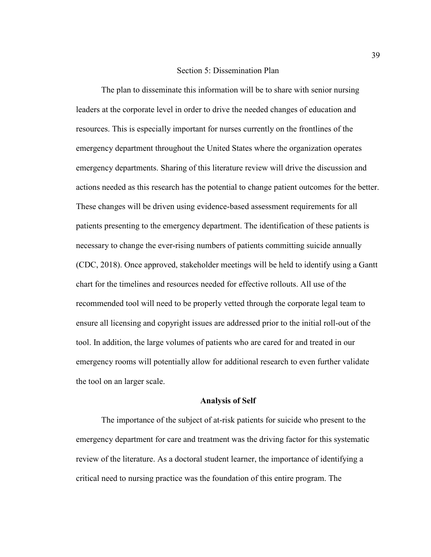#### Section 5: Dissemination Plan

The plan to disseminate this information will be to share with senior nursing leaders at the corporate level in order to drive the needed changes of education and resources. This is especially important for nurses currently on the frontlines of the emergency department throughout the United States where the organization operates emergency departments. Sharing of this literature review will drive the discussion and actions needed as this research has the potential to change patient outcomes for the better. These changes will be driven using evidence-based assessment requirements for all patients presenting to the emergency department. The identification of these patients is necessary to change the ever-rising numbers of patients committing suicide annually (CDC, 2018). Once approved, stakeholder meetings will be held to identify using a Gantt chart for the timelines and resources needed for effective rollouts. All use of the recommended tool will need to be properly vetted through the corporate legal team to ensure all licensing and copyright issues are addressed prior to the initial roll-out of the tool. In addition, the large volumes of patients who are cared for and treated in our emergency rooms will potentially allow for additional research to even further validate the tool on an larger scale.

#### **Analysis of Self**

The importance of the subject of at-risk patients for suicide who present to the emergency department for care and treatment was the driving factor for this systematic review of the literature. As a doctoral student learner, the importance of identifying a critical need to nursing practice was the foundation of this entire program. The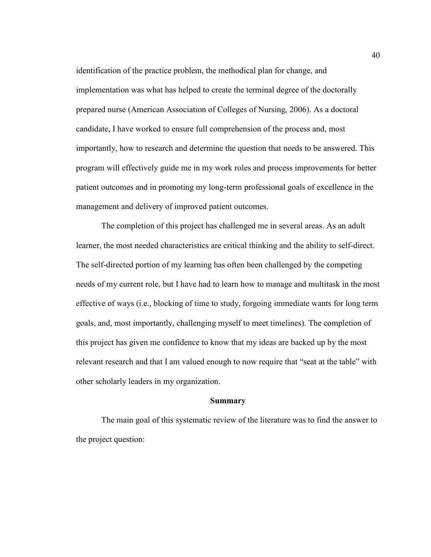identification of the practice problem, the methodical plan for change, and implementation was what has helped to create the terminal degree of the doctorally prepared nurse (American Association of Colleges of Nursing, 2006). As a doctoral candidate, I have worked to ensure full comprehension of the process and, most importantly, how to research and determine the question that needs to be answered. This program will effectively guide me in my work roles and process improvements for better patient outcomes and in promoting my long-term professional goals of excellence in the management and delivery of improved patient outcomes.

The completion of this project has challenged me in several areas. As an adult learner, the most needed characteristics are critical thinking and the ability to self-direct. The self-directed portion of my learning has often been challenged by the competing needs of my current role, but I have had to learn how to manage and multitask in the most effective of ways (i.e., blocking of time to study, forgoing immediate wants for long term goals, and, most importantly, challenging myself to meet timelines). The completion of this project has given me confidence to know that my ideas are backed up by the most relevant research and that I am valued enough to now require that "seat at the table" with other scholarly leaders in my organization.

#### **Summary**

The main goal of this systematic review of the literature was to find the answer to the project question: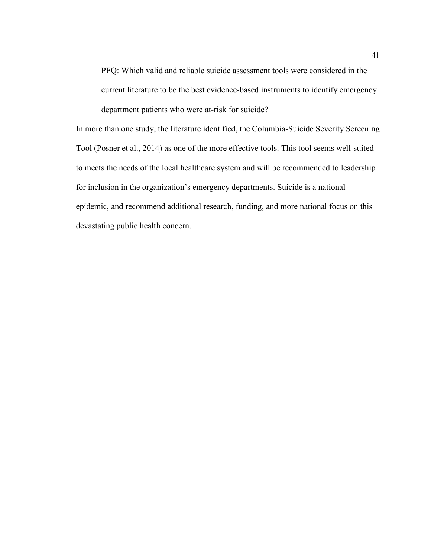PFQ: Which valid and reliable suicide assessment tools were considered in the current literature to be the best evidence-based instruments to identify emergency department patients who were at-risk for suicide?

In more than one study, the literature identified, the Columbia-Suicide Severity Screening Tool (Posner et al., 2014) as one of the more effective tools. This tool seems well-suited to meets the needs of the local healthcare system and will be recommended to leadership for inclusion in the organization's emergency departments. Suicide is a national epidemic, and recommend additional research, funding, and more national focus on this devastating public health concern.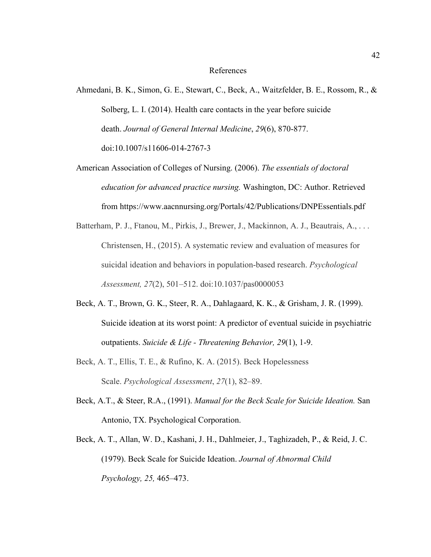#### References

- Ahmedani, B. K., Simon, G. E., Stewart, C., Beck, A., Waitzfelder, B. E., Rossom, R., & Solberg, L. I. (2014). Health care contacts in the year before suicide death. *Journal of General Internal Medicine*, *29*(6), 870-877. doi:10.1007/s11606-014-2767-3
- American Association of Colleges of Nursing. (2006). *The essentials of doctoral education for advanced practice nursing.* Washington, DC: Author. Retrieved from https://www.aacnnursing.org/Portals/42/Publications/DNPEssentials.pdf
- Batterham, P. J., Ftanou, M., Pirkis, J., Brewer, J., Mackinnon, A. J., Beautrais, A., ... Christensen, H., (2015). A systematic review and evaluation of measures for suicidal ideation and behaviors in population-based research. *Psychological Assessment, 27*(2), 501–512. doi:10.1037/pas0000053
- Beck, A. T., Brown, G. K., Steer, R. A., Dahlagaard, K. K., & Grisham, J. R. (1999). Suicide ideation at its worst point: A predictor of eventual suicide in psychiatric outpatients. *Suicide & Life - Threatening Behavior, 29*(1), 1-9.
- Beck, A. T., Ellis, T. E., & Rufino, K. A. (2015). Beck Hopelessness Scale. *Psychological Assessment*, *27*(1), 82–89.
- Beck, A.T., & Steer, R.A., (1991). *Manual for the Beck Scale for Suicide Ideation.* San Antonio, TX. Psychological Corporation.
- Beck, A. T., Allan, W. D., Kashani, J. H., Dahlmeier, J., Taghizadeh, P., & Reid, J. C. (1979). Beck Scale for Suicide Ideation. *Journal of Abnormal Child Psychology, 25,* 465–473.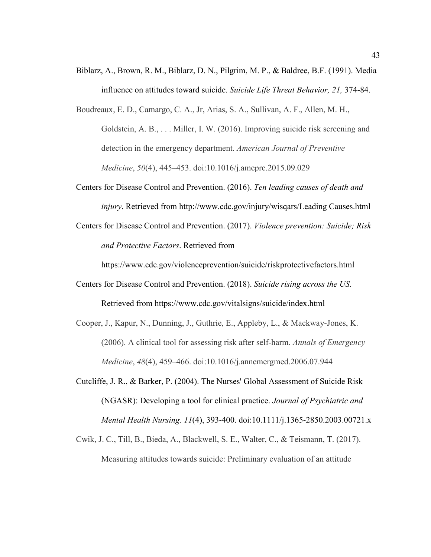- Biblarz, A., Brown, R. M., Biblarz, D. N., Pilgrim, M. P., & Baldree, B.F. (1991). Media influence on attitudes toward suicide. *Suicide Life Threat Behavior, 21,* 374-84.
- Boudreaux, E. D., Camargo, C. A., Jr, Arias, S. A., Sullivan, A. F., Allen, M. H., Goldstein, A. B., . . . Miller, I. W. (2016). Improving suicide risk screening and detection in the emergency department. *American Journal of Preventive Medicine*, *50*(4), 445–453. doi:10.1016/j.amepre.2015.09.029
- Centers for Disease Control and Prevention. (2016). *Ten leading causes of death and injury*. Retrieved from http://www.cdc.gov/injury/wisqars/Leading Causes.html
- Centers for Disease Control and Prevention. (2017). *Violence prevention: Suicide; Risk and Protective Factors*. Retrieved from

https://www.cdc.gov/violenceprevention/suicide/riskprotectivefactors.html

- Centers for Disease Control and Prevention. (2018). *Suicide rising across the US.*  Retrieved from https://www.cdc.gov/vitalsigns/suicide/index.html
- Cooper, J., Kapur, N., Dunning, J., Guthrie, E., Appleby, L., & Mackway-Jones, K. (2006). A clinical tool for assessing risk after self-harm. *Annals of Emergency Medicine*, *48*(4), 459–466. doi:10.1016/j.annemergmed.2006.07.944
- Cutcliffe, J. R., & Barker, P. (2004). The Nurses' Global Assessment of Suicide Risk (NGASR): Developing a tool for clinical practice. *Journal of Psychiatric and Mental Health Nursing. 11*(4), 393-400. doi:10.1111/j.1365-2850.2003.00721.x
- Cwik, J. C., Till, B., Bieda, A., Blackwell, S. E., Walter, C., & Teismann, T. (2017). Measuring attitudes towards suicide: Preliminary evaluation of an attitude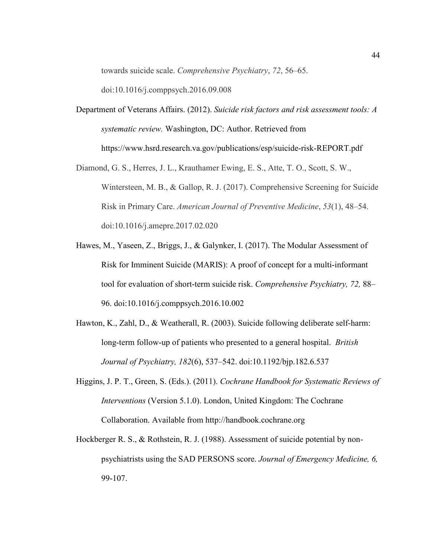towards suicide scale. *Comprehensive Psychiatry*, *72*, 56–65.

doi:10.1016/j.comppsych.2016.09.008

- Department of Veterans Affairs. (2012). *Suicide risk factors and risk assessment tools: A systematic review.* Washington, DC: Author. Retrieved from https://www.hsrd.research.va.gov/publications/esp/suicide-risk-REPORT.pdf
- Diamond, G. S., Herres, J. L., Krauthamer Ewing, E. S., Atte, T. O., Scott, S. W., Wintersteen, M. B., & Gallop, R. J. (2017). Comprehensive Screening for Suicide Risk in Primary Care. *American Journal of Preventive Medicine*, *53*(1), 48–54. doi:10.1016/j.amepre.2017.02.020
- Hawes, M., Yaseen, Z., Briggs, J., & Galynker, I. (2017). The Modular Assessment of Risk for Imminent Suicide (MARIS): A proof of concept for a multi-informant tool for evaluation of short-term suicide risk. *Comprehensive Psychiatry, 72,* 88– 96. doi:10.1016/j.comppsych.2016.10.002
- Hawton, K., Zahl, D., & Weatherall, R. (2003). Suicide following deliberate self-harm: long-term follow-up of patients who presented to a general hospital. *British Journal of Psychiatry, 182*(6), 537–542. doi:10.1192/bjp.182.6.537
- Higgins, J. P. T., Green, S. (Eds.). (2011). *Cochrane Handbook for Systematic Reviews of Interventions* (Version 5.1.0). London, United Kingdom: The Cochrane Collaboration. Available from http://handbook.cochrane.org
- Hockberger R. S., & Rothstein, R. J. (1988). Assessment of suicide potential by nonpsychiatrists using the SAD PERSONS score. *Journal of Emergency Medicine, 6,* 99-107.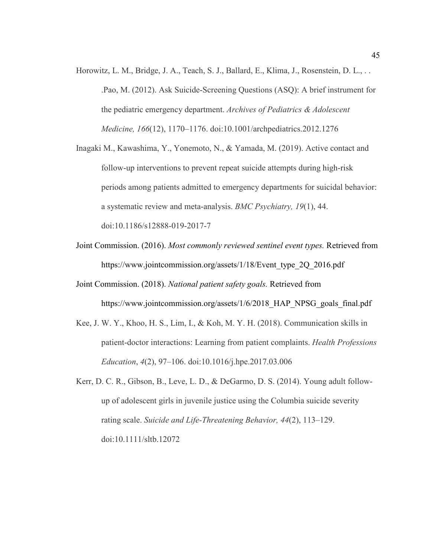- Horowitz, L. M., Bridge, J. A., Teach, S. J., Ballard, E., Klima, J., Rosenstein, D. L., . . .Pao, M. (2012). Ask Suicide-Screening Questions (ASQ): A brief instrument for the pediatric emergency department. *Archives of Pediatrics & Adolescent Medicine, 166*(12), 1170–1176. doi:10.1001/archpediatrics.2012.1276
- Inagaki M., Kawashima, Y., Yonemoto, N., & Yamada, M. (2019). Active contact and follow-up interventions to prevent repeat suicide attempts during high-risk periods among patients admitted to emergency departments for suicidal behavior: a systematic review and meta-analysis. *BMC Psychiatry, 19*(1), 44. doi:10.1186/s12888-019-2017-7
- Joint Commission. (2016). *Most commonly reviewed sentinel event types.* Retrieved from https://www.jointcommission.org/assets/1/18/Event\_type\_2Q\_2016.pdf
- Joint Commission. (2018). *National patient safety goals.* Retrieved from https://www.jointcommission.org/assets/1/6/2018 HAP\_NPSG\_goals\_final.pdf
- Kee, J. W. Y., Khoo, H. S., Lim, I., & Koh, M. Y. H. (2018). Communication skills in patient-doctor interactions: Learning from patient complaints. *Health Professions Education*, *4*(2), 97–106. doi:10.1016/j.hpe.2017.03.006
- Kerr, D. C. R., Gibson, B., Leve, L. D., & DeGarmo, D. S. (2014). Young adult followup of adolescent girls in juvenile justice using the Columbia suicide severity rating scale. *Suicide and Life-Threatening Behavior, 44*(2), 113–129. doi:10.1111/sltb.12072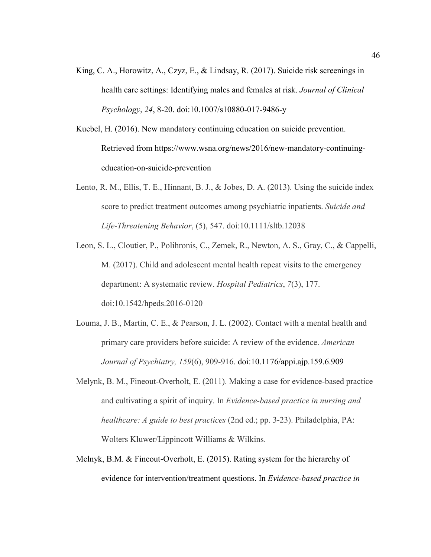- King, C. A., Horowitz, A., Czyz, E., & Lindsay, R. (2017). Suicide risk screenings in health care settings: Identifying males and females at risk. *Journal of Clinical Psychology*, *24*, 8-20. doi:10.1007/s10880-017-9486-y
- Kuebel, H. (2016). New mandatory continuing education on suicide prevention. Retrieved from https://www.wsna.org/news/2016/new-mandatory-continuingeducation-on-suicide-prevention
- Lento, R. M., Ellis, T. E., Hinnant, B. J., & Jobes, D. A. (2013). Using the suicide index score to predict treatment outcomes among psychiatric inpatients. *Suicide and Life-Threatening Behavior*, (5), 547. doi:10.1111/sltb.12038
- Leon, S. L., Cloutier, P., Polihronis, C., Zemek, R., Newton, A. S., Gray, C., & Cappelli, M. (2017). Child and adolescent mental health repeat visits to the emergency department: A systematic review. *Hospital Pediatrics*, *7*(3), 177. doi:10.1542/hpeds.2016-0120
- Louma, J. B., Martin, C. E., & Pearson, J. L. (2002). Contact with a mental health and primary care providers before suicide: A review of the evidence. *American Journal of Psychiatry, 159*(6), 909-916. doi:10.1176/appi.ajp.159.6.909
- Melynk, B. M., Fineout-Overholt, E. (2011). Making a case for evidence-based practice and cultivating a spirit of inquiry. In *Evidence-based practice in nursing and healthcare: A guide to best practices* (2nd ed.; pp. 3-23). Philadelphia, PA: Wolters Kluwer/Lippincott Williams & Wilkins.
- Melnyk, B.M. & Fineout-Overholt, E. (2015). Rating system for the hierarchy of evidence for intervention/treatment questions. In *Evidence-based practice in*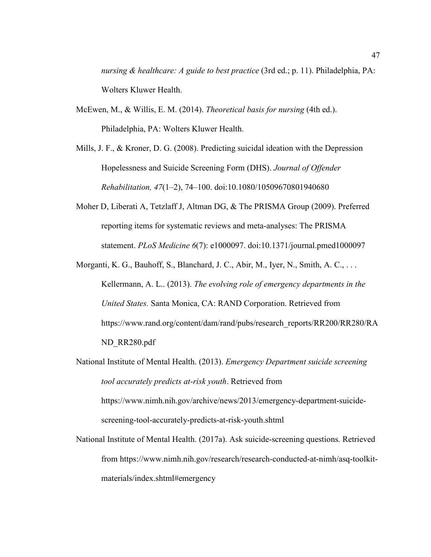*nursing & healthcare: A guide to best practice* (3rd ed.; p. 11). Philadelphia, PA: Wolters Kluwer Health.

- McEwen, M., & Willis, E. M. (2014). *Theoretical basis for nursing* (4th ed.). Philadelphia, PA: Wolters Kluwer Health.
- Mills, J. F., & Kroner, D. G. (2008). Predicting suicidal ideation with the Depression Hopelessness and Suicide Screening Form (DHS). *Journal of Offender Rehabilitation, 47*(1–2), 74–100. doi:10.1080/10509670801940680
- Moher D, Liberati A, Tetzlaff J, Altman DG, & The PRISMA Group (2009). Preferred reporting items for systematic reviews and meta-analyses: The PRISMA statement. *PLoS Medicine 6*(7): e1000097. doi:10.1371/journal.pmed1000097
- Morganti, K. G., Bauhoff, S., Blanchard, J. C., Abir, M., Iyer, N., Smith, A. C., ... Kellermann, A. L.. (2013). *The evolving role of emergency departments in the United States.* Santa Monica, CA: RAND Corporation. Retrieved from https://www.rand.org/content/dam/rand/pubs/research\_reports/RR200/RR280/RA ND\_RR280.pdf
- National Institute of Mental Health. (2013). *Emergency Department suicide screening tool accurately predicts at-risk youth*. Retrieved from https://www.nimh.nih.gov/archive/news/2013/emergency-department-suicidescreening-tool-accurately-predicts-at-risk-youth.shtml
- National Institute of Mental Health. (2017a). Ask suicide-screening questions. Retrieved from https://www.nimh.nih.gov/research/research-conducted-at-nimh/asq-toolkitmaterials/index.shtml#emergency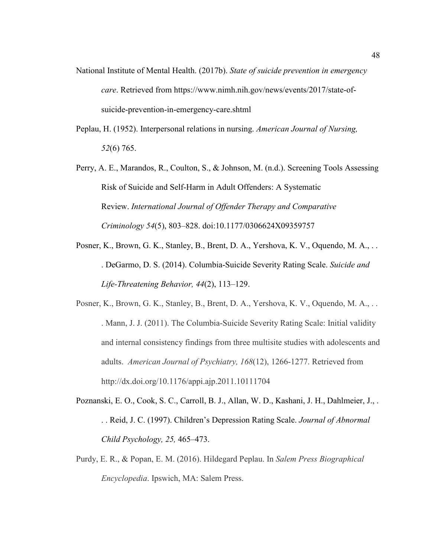- National Institute of Mental Health. (2017b). *State of suicide prevention in emergency care*. Retrieved from https://www.nimh.nih.gov/news/events/2017/state-ofsuicide-prevention-in-emergency-care.shtml
- Peplau, H. (1952). Interpersonal relations in nursing. *American Journal of Nursing, 52*(6) 765.
- Perry, A. E., Marandos, R., Coulton, S., & Johnson, M. (n.d.). Screening Tools Assessing Risk of Suicide and Self-Harm in Adult Offenders: A Systematic Review. *International Journal of Offender Therapy and Comparative Criminology 54*(5), 803–828. doi:10.1177/0306624X09359757
- Posner, K., Brown, G. K., Stanley, B., Brent, D. A., Yershova, K. V., Oquendo, M. A., . . . DeGarmo, D. S. (2014). Columbia-Suicide Severity Rating Scale. *Suicide and Life-Threatening Behavior, 44*(2), 113–129.
- Posner, K., Brown, G. K., Stanley, B., Brent, D. A., Yershova, K. V., Oquendo, M. A., . . . Mann, J. J. (2011). The Columbia-Suicide Severity Rating Scale: Initial validity and internal consistency findings from three multisite studies with adolescents and adults. *American Journal of Psychiatry, 168*(12), 1266-1277. Retrieved from http://dx.doi.org/10.1176/appi.ajp.2011.10111704
- Poznanski, E. O., Cook, S. C., Carroll, B. J., Allan, W. D., Kashani, J. H., Dahlmeier, J., . . . Reid, J. C. (1997). Children's Depression Rating Scale. *Journal of Abnormal Child Psychology, 25,* 465–473.
- Purdy, E. R., & Popan, E. M. (2016). Hildegard Peplau. In *Salem Press Biographical Encyclopedia*. Ipswich, MA: Salem Press.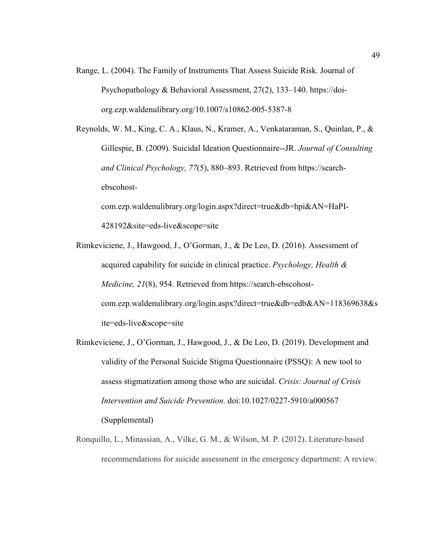- Range, L. (2004). The Family of Instruments That Assess Suicide Risk. Journal of Psychopathology & Behavioral Assessment, 27(2), 133–140. https://doiorg.ezp.waldenulibrary.org/10.1007/s10862-005-5387-8
- Reynolds, W. M., King, C. A., Klaus, N., Kramer, A., Venkataraman, S., Quinlan, P., & Gillespie, B. (2009). Suicidal Ideation Questionnaire--JR. *Journal of Consulting and Clinical Psychology, 77*(5), 880–893. Retrieved from https://searchebscohost-

com.ezp.waldenulibrary.org/login.aspx?direct=true&db=hpi&AN=HaPI-428192&site=eds-live&scope=site

- Rimkeviciene, J., Hawgood, J., O'Gorman, J., & De Leo, D. (2016). Assessment of acquired capability for suicide in clinical practice. *Psychology, Health & Medicine, 21*(8), 954. Retrieved from https://search-ebscohostcom.ezp.waldenulibrary.org/login.aspx?direct=true&db=edb&AN=118369638&s ite=eds-live&scope=site
- Rimkeviciene, J., O'Gorman, J., Hawgood, J., & De Leo, D. (2019). Development and validity of the Personal Suicide Stigma Questionnaire (PSSQ): A new tool to assess stigmatization among those who are suicidal. *Crisis: Journal of Crisis Intervention and Suicide Prevention.* doi:10.1027/0227-5910/a000567 (Supplemental)
- Ronquillo, L., Minassian, A., Vilke, G. M., & Wilson, M. P. (2012). Literature-based recommendations for suicide assessment in the emergency department: A review.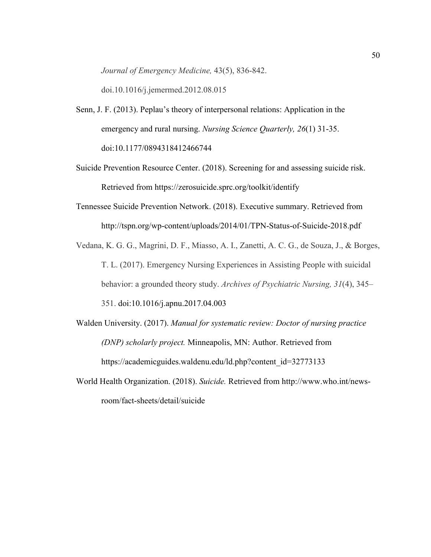*Journal of Emergency Medicine,* 43(5), 836-842.

doi.10.1016/j.jemermed.2012.08.015

- Senn, J. F. (2013). Peplau's theory of interpersonal relations: Application in the emergency and rural nursing. *Nursing Science Quarterly, 26*(1) 31-35. doi:10.1177/0894318412466744
- Suicide Prevention Resource Center. (2018). Screening for and assessing suicide risk. Retrieved from https://zerosuicide.sprc.org/toolkit/identify
- Tennessee Suicide Prevention Network. (2018). Executive summary. Retrieved from http://tspn.org/wp-content/uploads/2014/01/TPN-Status-of-Suicide-2018.pdf
- Vedana, K. G. G., Magrini, D. F., Miasso, A. I., Zanetti, A. C. G., de Souza, J., & Borges, T. L. (2017). Emergency Nursing Experiences in Assisting People with suicidal behavior: a grounded theory study. *Archives of Psychiatric Nursing, 31*(4), 345– 351. doi:10.1016/j.apnu.2017.04.003
- Walden University. (2017). *Manual for systematic review: Doctor of nursing practice (DNP) scholarly project.* Minneapolis, MN: Author. Retrieved from https://academicguides.waldenu.edu/ld.php?content\_id=32773133
- World Health Organization. (2018). *Suicide.* Retrieved from http://www.who.int/newsroom/fact-sheets/detail/suicide